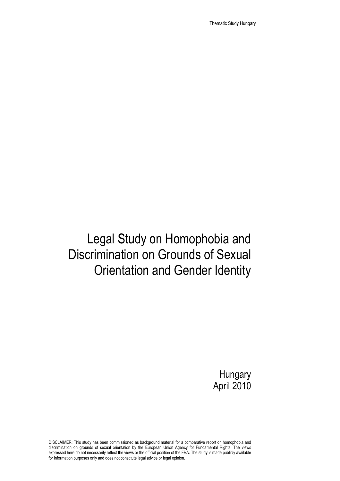Thematic Study Hungary

# Legal Study on Homophobia and Discrimination on Grounds of Sexual Orientation and Gender Identity

**Hungary** April 2010

DISCLAIMER: This study has been commissioned as background material for a comparative report on homophobia and discrimination on grounds of sexual orientation by the European Union Agency for Fundamental Rights. The views expressed here do not necessarily reflect the views or the official position of the FRA. The study is made publicly available for information purposes only and does not constitute legal advice or legal opinion.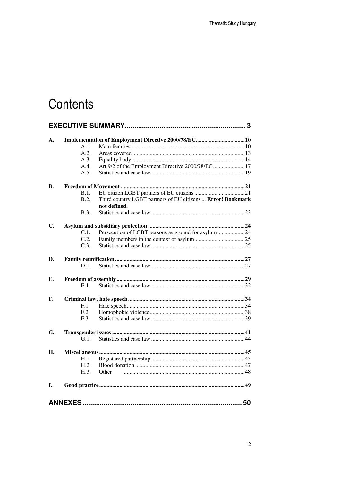# Contents

| A. |         | Implementation of Employment Directive 2000/78/EC10                         |  |
|----|---------|-----------------------------------------------------------------------------|--|
|    | A.1.    |                                                                             |  |
|    | A.2.    |                                                                             |  |
|    | A.3.    |                                                                             |  |
|    | A.4.    | Art 9/2 of the Employment Directive 2000/78/EC17                            |  |
|    | A.5.    |                                                                             |  |
| В. |         |                                                                             |  |
|    | B.1.    |                                                                             |  |
|    | B.2.    | Third country LGBT partners of EU citizens  Error! Bookmark<br>not defined. |  |
|    | B.3.    |                                                                             |  |
| C. |         |                                                                             |  |
|    | C.1.    | Persecution of LGBT persons as ground for asylum24                          |  |
|    | C.2.    |                                                                             |  |
|    | C.3.    |                                                                             |  |
| D. |         |                                                                             |  |
|    | D.1.    |                                                                             |  |
| Е. |         |                                                                             |  |
|    | E.1.    |                                                                             |  |
| F. |         |                                                                             |  |
|    | F.1.    |                                                                             |  |
|    | F.2.    |                                                                             |  |
|    | F.3.    |                                                                             |  |
| G. |         |                                                                             |  |
|    | $G.1$ . |                                                                             |  |
| H. |         |                                                                             |  |
|    | H.1.    |                                                                             |  |
|    | H.2.    |                                                                             |  |
|    | H.3.    | Other                                                                       |  |
| I. |         |                                                                             |  |
|    |         |                                                                             |  |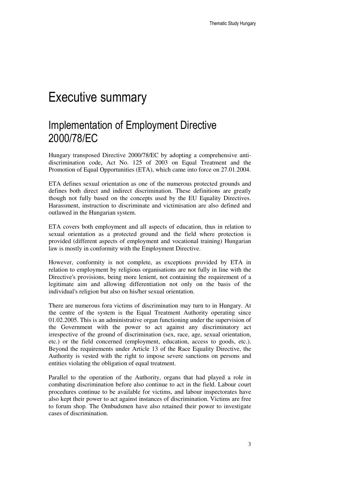### Executive summary

### Implementation of Employment Directive 2000/78/EC

Hungary transposed Directive 2000/78/EC by adopting a comprehensive antidiscrimination code, Act No. 125 of 2003 on Equal Treatment and the Promotion of Equal Opportunities (ETA), which came into force on 27.01.2004.

ETA defines sexual orientation as one of the numerous protected grounds and defines both direct and indirect discrimination. These definitions are greatly though not fully based on the concepts used by the EU Equality Directives. Harassment, instruction to discriminate and victimisation are also defined and outlawed in the Hungarian system.

ETA covers both employment and all aspects of education, thus in relation to sexual orientation as a protected ground and the field where protection is provided (different aspects of employment and vocational training) Hungarian law is mostly in conformity with the Employment Directive.

However, conformity is not complete, as exceptions provided by ETA in relation to employment by religious organisations are not fully in line with the Directive's provisions, being more lenient, not containing the requirement of a legitimate aim and allowing differentiation not only on the basis of the individual's religion but also on his/her sexual orientation.

There are numerous fora victims of discrimination may turn to in Hungary. At the centre of the system is the Equal Treatment Authority operating since 01.02.2005. This is an administrative organ functioning under the supervision of the Government with the power to act against any discriminatory act irrespective of the ground of discrimination (sex, race, age, sexual orientation, etc.) or the field concerned (employment, education, access to goods, etc.). Beyond the requirements under Article 13 of the Race Equality Directive, the Authority is vested with the right to impose severe sanctions on persons and entities violating the obligation of equal treatment.

Parallel to the operation of the Authority, organs that had played a role in combating discrimination before also continue to act in the field. Labour court procedures continue to be available for victims, and labour inspectorates have also kept their power to act against instances of discrimination. Victims are free to forum shop. The Ombudsmen have also retained their power to investigate cases of discrimination.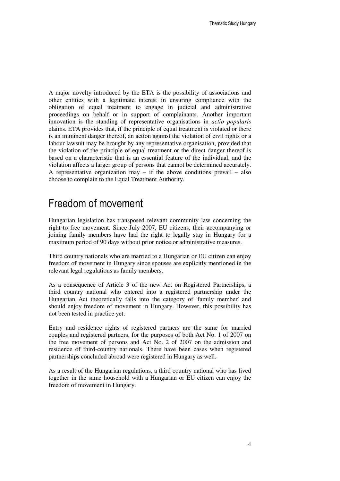A major novelty introduced by the ETA is the possibility of associations and other entities with a legitimate interest in ensuring compliance with the obligation of equal treatment to engage in judicial and administrative proceedings on behalf or in support of complainants. Another important innovation is the standing of representative organisations in *actio popularis* claims. ETA provides that, if the principle of equal treatment is violated or there is an imminent danger thereof, an action against the violation of civil rights or a labour lawsuit may be brought by any representative organisation, provided that the violation of the principle of equal treatment or the direct danger thereof is based on a characteristic that is an essential feature of the individual, and the violation affects a larger group of persons that cannot be determined accurately. A representative organization may – if the above conditions prevail – also choose to complain to the Equal Treatment Authority.

#### Freedom of movement

Hungarian legislation has transposed relevant community law concerning the right to free movement. Since July 2007, EU citizens, their accompanying or joining family members have had the right to legally stay in Hungary for a maximum period of 90 days without prior notice or administrative measures.

Third country nationals who are married to a Hungarian or EU citizen can enjoy freedom of movement in Hungary since spouses are explicitly mentioned in the relevant legal regulations as family members.

As a consequence of Article 3 of the new Act on Registered Partnerships, a third country national who entered into a registered partnership under the Hungarian Act theoretically falls into the category of 'family member' and should enjoy freedom of movement in Hungary. However, this possibility has not been tested in practice yet.

Entry and residence rights of registered partners are the same for married couples and registered partners, for the purposes of both Act No. 1 of 2007 on the free movement of persons and Act No. 2 of 2007 on the admission and residence of third-country nationals. There have been cases when registered partnerships concluded abroad were registered in Hungary as well.

As a result of the Hungarian regulations, a third country national who has lived together in the same household with a Hungarian or EU citizen can enjoy the freedom of movement in Hungary.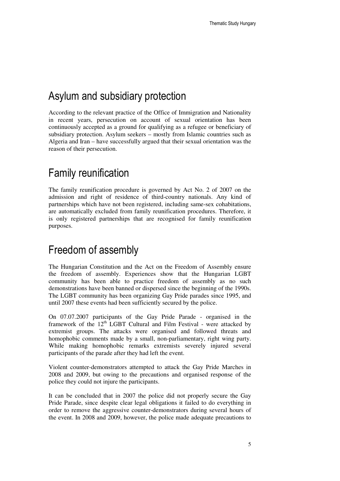### Asylum and subsidiary protection

According to the relevant practice of the Office of Immigration and Nationality in recent years, persecution on account of sexual orientation has been continuously accepted as a ground for qualifying as a refugee or beneficiary of subsidiary protection. Asylum seekers – mostly from Islamic countries such as Algeria and Iran – have successfully argued that their sexual orientation was the reason of their persecution.

### Family reunification

The family reunification procedure is governed by Act No. 2 of 2007 on the admission and right of residence of third-country nationals. Any kind of partnerships which have not been registered, including same-sex cohabitations, are automatically excluded from family reunification procedures. Therefore, it is only registered partnerships that are recognised for family reunification purposes.

### Freedom of assembly

The Hungarian Constitution and the Act on the Freedom of Assembly ensure the freedom of assembly. Experiences show that the Hungarian LGBT community has been able to practice freedom of assembly as no such demonstrations have been banned or dispersed since the beginning of the 1990s. The LGBT community has been organizing Gay Pride parades since 1995, and until 2007 these events had been sufficiently secured by the police.

On 07.07.2007 participants of the Gay Pride Parade - organised in the framework of the 12<sup>th</sup> LGBT Cultural and Film Festival - were attacked by extremist groups. The attacks were organised and followed threats and homophobic comments made by a small, non-parliamentary, right wing party. While making homophobic remarks extremists severely injured several participants of the parade after they had left the event.

Violent counter-demonstrators attempted to attack the Gay Pride Marches in 2008 and 2009, but owing to the precautions and organised response of the police they could not injure the participants.

It can be concluded that in 2007 the police did not properly secure the Gay Pride Parade, since despite clear legal obligations it failed to do everything in order to remove the aggressive counter-demonstrators during several hours of the event. In 2008 and 2009, however, the police made adequate precautions to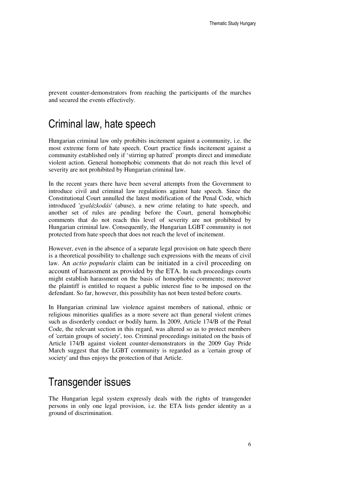prevent counter-demonstrators from reaching the participants of the marches and secured the events effectively.

#### Criminal law, hate speech

Hungarian criminal law only prohibits incitement against a community, i.e. the most extreme form of hate speech. Court practice finds incitement against a community established only if 'stirring up hatred' prompts direct and immediate violent action. General homophobic comments that do not reach this level of severity are not prohibited by Hungarian criminal law.

In the recent years there have been several attempts from the Government to introduce civil and criminal law regulations against hate speech. Since the Constitutional Court annulled the latest modification of the Penal Code, which introduced '*gyalázkodás*' (abuse), a new crime relating to hate speech, and another set of rules are pending before the Court, general homophobic comments that do not reach this level of severity are not prohibited by Hungarian criminal law. Consequently, the Hungarian LGBT community is not protected from hate speech that does not reach the level of incitement.

However, even in the absence of a separate legal provision on hate speech there is a theoretical possibility to challenge such expressions with the means of civil law. An *actio popularis* claim can be initiated in a civil proceeding on account of harassment as provided by the ETA. In such proceedings courts might establish harassment on the basis of homophobic comments; moreover the plaintiff is entitled to request a public interest fine to be imposed on the defendant. So far, however, this possibility has not been tested before courts.

In Hungarian criminal law violence against members of national, ethnic or religious minorities qualifies as a more severe act than general violent crimes such as disorderly conduct or bodily harm. In 2009, Article 174/B of the Penal Code, the relevant section in this regard, was altered so as to protect members of 'certain groups of society', too. Criminal proceedings initiated on the basis of Article 174/B against violent counter-demonstrators in the 2009 Gay Pride March suggest that the LGBT community is regarded as a 'certain group of society' and thus enjoys the protection of that Article.

#### Transgender issues

The Hungarian legal system expressly deals with the rights of transgender persons in only one legal provision, i.e. the ETA lists gender identity as a ground of discrimination.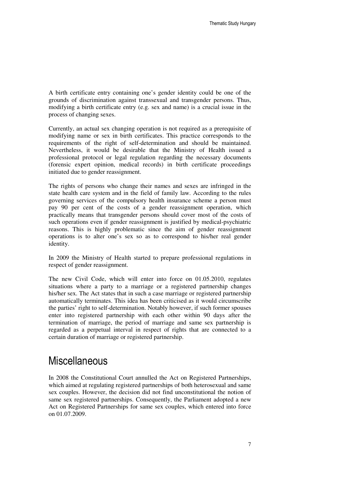A birth certificate entry containing one's gender identity could be one of the grounds of discrimination against transsexual and transgender persons. Thus, modifying a birth certificate entry (e.g. sex and name) is a crucial issue in the process of changing sexes.

Currently, an actual sex changing operation is not required as a prerequisite of modifying name or sex in birth certificates. This practice corresponds to the requirements of the right of self-determination and should be maintained. Nevertheless, it would be desirable that the Ministry of Health issued a professional protocol or legal regulation regarding the necessary documents (forensic expert opinion, medical records) in birth certificate proceedings initiated due to gender reassignment.

The rights of persons who change their names and sexes are infringed in the state health care system and in the field of family law. According to the rules governing services of the compulsory health insurance scheme a person must pay 90 per cent of the costs of a gender reassignment operation, which practically means that transgender persons should cover most of the costs of such operations even if gender reassignment is justified by medical-psychiatric reasons. This is highly problematic since the aim of gender reassignment operations is to alter one's sex so as to correspond to his/her real gender identity.

In 2009 the Ministry of Health started to prepare professional regulations in respect of gender reassignment.

The new Civil Code, which will enter into force on 01.05.2010, regulates situations where a party to a marriage or a registered partnership changes his/her sex. The Act states that in such a case marriage or registered partnership automatically terminates. This idea has been criticised as it would circumscribe the parties' right to self-determination. Notably however, if such former spouses enter into registered partnership with each other within 90 days after the termination of marriage, the period of marriage and same sex partnership is regarded as a perpetual interval in respect of rights that are connected to a certain duration of marriage or registered partnership.

#### **Miscellaneous**

In 2008 the Constitutional Court annulled the Act on Registered Partnerships, which aimed at regulating registered partnerships of both heterosexual and same sex couples. However, the decision did not find unconstitutional the notion of same sex registered partnerships. Consequently, the Parliament adopted a new Act on Registered Partnerships for same sex couples, which entered into force on 01.07.2009.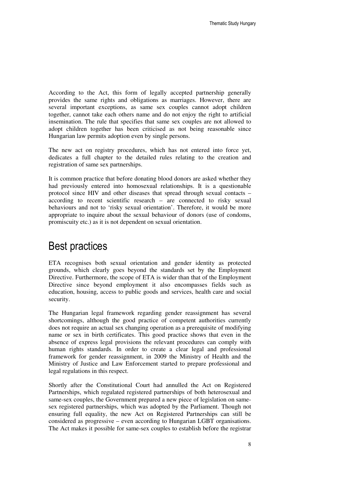According to the Act, this form of legally accepted partnership generally provides the same rights and obligations as marriages. However, there are several important exceptions, as same sex couples cannot adopt children together, cannot take each others name and do not enjoy the right to artificial insemination. The rule that specifies that same sex couples are not allowed to adopt children together has been criticised as not being reasonable since Hungarian law permits adoption even by single persons.

The new act on registry procedures, which has not entered into force yet, dedicates a full chapter to the detailed rules relating to the creation and registration of same sex partnerships.

It is common practice that before donating blood donors are asked whether they had previously entered into homosexual relationships. It is a questionable protocol since HIV and other diseases that spread through sexual contacts – according to recent scientific research – are connected to risky sexual behaviours and not to 'risky sexual orientation'. Therefore, it would be more appropriate to inquire about the sexual behaviour of donors (use of condoms, promiscuity etc.) as it is not dependent on sexual orientation.

#### Best practices

ETA recognises both sexual orientation and gender identity as protected grounds, which clearly goes beyond the standards set by the Employment Directive. Furthermore, the scope of ETA is wider than that of the Employment Directive since beyond employment it also encompasses fields such as education, housing, access to public goods and services, health care and social security.

The Hungarian legal framework regarding gender reassignment has several shortcomings, although the good practice of competent authorities currently does not require an actual sex changing operation as a prerequisite of modifying name or sex in birth certificates. This good practice shows that even in the absence of express legal provisions the relevant procedures can comply with human rights standards. In order to create a clear legal and professional framework for gender reassignment, in 2009 the Ministry of Health and the Ministry of Justice and Law Enforcement started to prepare professional and legal regulations in this respect.

Shortly after the Constitutional Court had annulled the Act on Registered Partnerships, which regulated registered partnerships of both heterosexual and same-sex couples, the Government prepared a new piece of legislation on samesex registered partnerships, which was adopted by the Parliament. Though not ensuring full equality, the new Act on Registered Partnerships can still be considered as progressive – even according to Hungarian LGBT organisations. The Act makes it possible for same-sex couples to establish before the registrar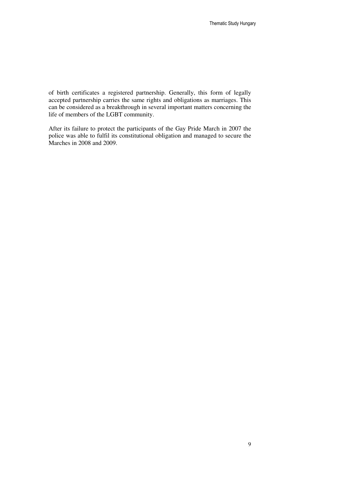of birth certificates a registered partnership. Generally, this form of legally accepted partnership carries the same rights and obligations as marriages. This can be considered as a breakthrough in several important matters concerning the life of members of the LGBT community.

After its failure to protect the participants of the Gay Pride March in 2007 the police was able to fulfil its constitutional obligation and managed to secure the Marches in 2008 and 2009.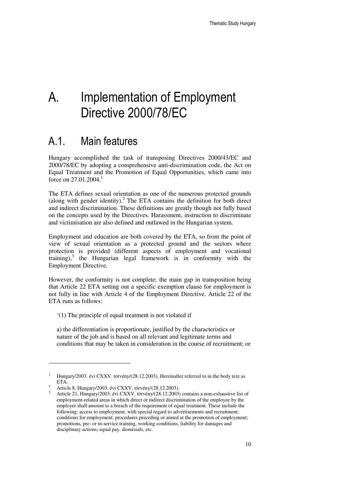# A. Implementation of Employment Directive 2000/78/EC

### A.1. Main features

Hungary accomplished the task of transposing Directives 2000/43/EC and 2000/78/EC by adopting a comprehensive anti-discrimination code, the Act on Equal Treatment and the Promotion of Equal Opportunities, which came into force on 27.01.2004.<sup>1</sup>

The ETA defines sexual orientation as one of the numerous protected grounds (along with gender identity). $^2$  The ETA contains the definition for both direct and indirect discrimination. These definitions are greatly though not fully based on the concepts used by the Directives. Harassment, instruction to discriminate and victimisation are also defined and outlawed in the Hungarian system.

Employment and education are both covered by the ETA, so from the point of view of sexual orientation as a protected ground and the sectors where protection is provided (different aspects of employment and vocational training), $3$  the Hungarian legal framework is in conformity with the Employment Directive.

However, the conformity is not complete; the main gap in transposition being that Article 22 ETA setting out a specific exemption clause for employment is not fully in line with Article 4 of the Employment Directive. Article 22 of the ETA runs as follows:

'(1) The principle of equal treatment is not violated if

a) the differentiation is proportionate, justified by the characteristics or nature of the job and is based on all relevant and legitimate terms and conditions that may be taken in consideration in the course of recruitment; or

<sup>1</sup> Hungary/2003. évi CXXV. törvény/(28.12.2003). Hereinafter referred to in the body text as ETA.

<sup>2</sup> Article 8, Hungary/2003. évi CXXV. törvény/(28.12.2003).

<sup>3</sup> Article 21, Hungary/2003. évi CXXV. törvény/(28.12.2003) contains a non-exhaustive list of employment-related areas in which direct or indirect discrimination of the employee by the employer shall amount to a breach of the requirement of equal treatment. These include the following: access to employment, with special regard to advertisements and recruitment; conditions for employment; procedures preceding or aimed at the promotion of employment; promotions, pre- or in-service training, working conditions, liability for damages and disciplinary actions; equal pay, dismissals, etc.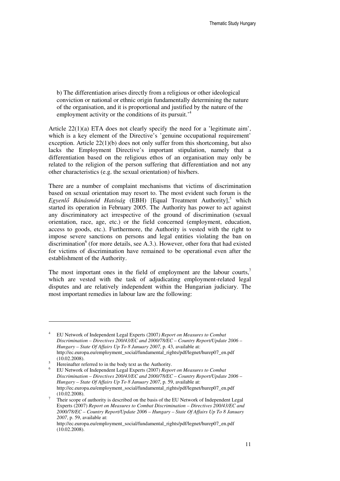b) The differentiation arises directly from a religious or other ideological conviction or national or ethnic origin fundamentally determining the nature of the organisation, and it is proportional and justified by the nature of the employment activity or the conditions of its pursuit.<sup>4</sup>

Article 22(1)(a) ETA does not clearly specify the need for a 'legitimate aim', which is a key element of the Directive's 'genuine occupational requirement' exception. Article 22(1)(b) does not only suffer from this shortcoming, but also lacks the Employment Directive's important stipulation, namely that a differentiation based on the religious ethos of an organisation may only be related to the religion of the person suffering that differentiation and not any other characteristics (e.g. the sexual orientation) of his/hers.

There are a number of complaint mechanisms that victims of discrimination based on sexual orientation may resort to. The most evident such forum is the Egyenlő Bánásmód Hatóság (EBH) [Equal Treatment Authority],<sup>5</sup> which started its operation in February 2005. The Authority has power to act against any discriminatory act irrespective of the ground of discrimination (sexual orientation, race, age, etc.) or the field concerned (employment, education, access to goods, etc.). Furthermore, the Authority is vested with the right to impose severe sanctions on persons and legal entities violating the ban on discrimination<sup>6</sup> (for more details, see A.3.). However, other fora that had existed for victims of discrimination have remained to be operational even after the establishment of the Authority.

The most important ones in the field of employment are the labour courts,<sup>7</sup> which are vested with the task of adjudicating employment-related legal disputes and are relatively independent within the Hungarian judiciary. The most important remedies in labour law are the following:

<sup>4</sup> EU Network of Independent Legal Experts (2007*) Report on Measures to Combat Discrimination – Directives 200/43/EC and 2000/78/EC – Country Report/Update 2006 – Hungary – State Of Affairs Up To 8 January 2007*, p. 43, available at: http://ec.europa.eu/employment\_social/fundamental\_rights/pdf/legnet/hurep07\_en.pdf (10.02.2008).

<sup>5</sup> Hereinafter referred to in the body text as the Authority.

<sup>6</sup> EU Network of Independent Legal Experts (2007) *Report on Measures to Combat Discrimination – Directives 200/43/EC and 2000/78/EC – Country Report/Update 2006 – Hungary – State Of Affairs Up To 8 January 2007*, p. 59, available at: http://ec.europa.eu/employment\_social/fundamental\_rights/pdf/legnet/hurep07\_en.pdf (10.02.2008).

<sup>7</sup> Their scope of authority is described on the basis of the EU Network of Independent Legal Experts (2007) *Report on Measures to Combat Discrimination – Directives 200/43/EC and 2000/78/EC – Country Report/Update 2006 – Hungary – State Of Affairs Up To 8 January 2007*, p. 59, available at:

http://ec.europa.eu/employment\_social/fundamental\_rights/pdf/legnet/hurep07\_en.pdf (10.02.2008).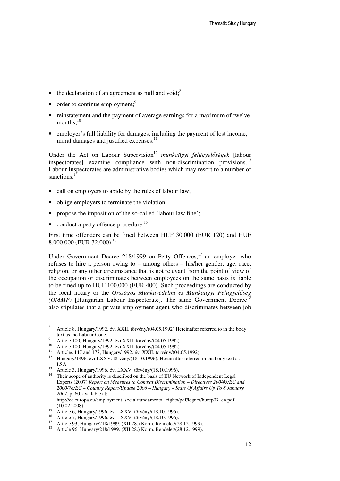- the declaration of an agreement as null and void; $8$
- $\bullet$  order to continue employment;<sup>9</sup>
- reinstatement and the payment of average earnings for a maximum of twelve months; $^{10}$
- employer's full liability for damages, including the payment of lost income, moral damages and justified expenses.<sup>11</sup>

Under the Act on Labour Supervision<sup>12</sup> *munkaügyi felügyelőségek* [labour inspectorates] examine compliance with non-discrimination provisions.<sup>13</sup> Labour Inspectorates are administrative bodies which may resort to a number of sanctions:<sup>14</sup>

- call on employers to abide by the rules of labour law;
- oblige employers to terminate the violation;
- propose the imposition of the so-called 'labour law fine';
- conduct a petty offence procedure.<sup>15</sup>

First time offenders can be fined between HUF 30,000 (EUR 120) and HUF 8,000,000 (EUR 32,000).<sup>16</sup>

Under Government Decree 218/1999 on Petty Offences,<sup>17</sup> an employer who refuses to hire a person owing to – among others – his/her gender, age, race, religion, or any other circumstance that is not relevant from the point of view of the occupation or discriminates between employees on the same basis is liable to be fined up to HUF 100.000 (EUR 400). Such proceedings are conducted by the local notary or the *Országos Munkavédelmi és Munkaügyi Felügyel*ő*ség (OMMF)* [Hungarian Labour Inspectorate]. The same Government Decree<sup>1</sup> also stipulates that a private employment agent who discriminates between job

http://ec.europa.eu/employment\_social/fundamental\_rights/pdf/legnet/hurep07\_en.pdf (10.02.2008).

<sup>8</sup> Article 8. Hungary/1992. évi XXII. törvény/(04.05.1992) Hereinafter referred to in the body text as the Labour Code.

<sup>9</sup> Article 100, Hungary/1992. évi XXII. törvény/(04.05.1992).

<sup>10</sup> Article 100, Hungary/1992. évi XXII. törvény/(04.05.1992).

<sup>11</sup> Articles 147 and 177, Hungary/1992. évi XXII. törvény/(04.05.1992)

<sup>&</sup>lt;sup>12</sup> Hungary/1996. évi LXXV. törvény/(18.10.1996). Hereinafter referred in the body text as LSA.

<sup>13</sup> Article 3, Hungary/1996. évi LXXV. törvény/(18.10.1996).

<sup>&</sup>lt;sup>14</sup> Their scope of authority is described on the basis of EU Network of Independent Legal Experts (2007) *Report on Measures to Combat Discrimination – Directives 200/43/EC and 2000/78/EC – Country Report/Update 2006 – Hungary – State Of Affairs Up To 8 January 2007*, p. 60, available at:

<sup>15</sup> Article 6, Hungary/1996. évi LXXV. törvény/(18.10.1996).

<sup>16</sup> Article 7, Hungary/1996. évi LYAV. törvény/(18.10.1996).<br>
Article 7, Hungary/1996. évi LXXV. törvény/(18.10.1996).<br>  $\frac{17}{2}$  Article 93, Hungary/(218/1000, (XII.28.) Korm, Pendelet/(2

Article 93, Hungary/218/1999. (XII.28.) Korm. Rendelet/(28.12.1999).

<sup>18</sup> Article 96, Hungary/218/1999. (XII.28.) Korm. Rendelet/(28.12.1999).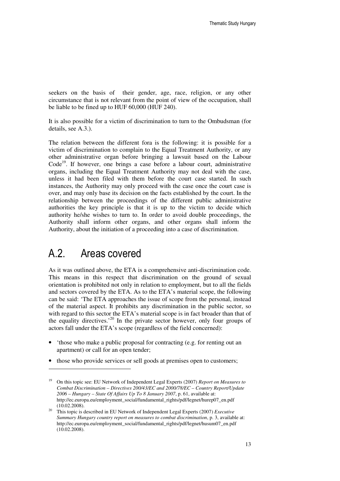seekers on the basis of their gender, age, race, religion, or any other circumstance that is not relevant from the point of view of the occupation, shall be liable to be fined up to HUF 60,000 (HUF 240).

It is also possible for a victim of discrimination to turn to the Ombudsman (for details, see A.3.).

The relation between the different fora is the following: it is possible for a victim of discrimination to complain to the Equal Treatment Authority, or any other administrative organ before bringing a lawsuit based on the Labour  $Code<sup>19</sup>$ . If however, one brings a case before a labour court, administrative organs, including the Equal Treatment Authority may not deal with the case, unless it had been filed with them before the court case started. In such instances, the Authority may only proceed with the case once the court case is over, and may only base its decision on the facts established by the court. In the relationship between the proceedings of the different public administrative authorities the key principle is that it is up to the victim to decide which authority he/she wishes to turn to. In order to avoid double proceedings, the Authority shall inform other organs, and other organs shall inform the Authority, about the initiation of a proceeding into a case of discrimination.

#### A.2. Areas covered

 $\overline{a}$ 

As it was outlined above, the ETA is a comprehensive anti-discrimination code. This means in this respect that discrimination on the ground of sexual orientation is prohibited not only in relation to employment, but to all the fields and sectors covered by the ETA. As to the ETA's material scope, the following can be said: 'The ETA approaches the issue of scope from the personal, instead of the material aspect. It prohibits any discrimination in the public sector, so with regard to this sector the ETA's material scope is in fact broader than that of the equality directives.<sup>20</sup> In the private sector however, only four groups of actors fall under the ETA's scope (regardless of the field concerned):

- 'those who make a public proposal for contracting (e.g. for renting out an apartment) or call for an open tender;
- those who provide services or sell goods at premises open to customers;

<sup>19</sup> On this topic see: EU Network of Independent Legal Experts (2007) *Report on Measures to Combat Discrimination – Directives 200/43/EC and 2000/78/EC – Country Report/Update 2006 – Hungary – State Of Affairs Up To 8 January 2007*, p. 61, available at: http://ec.europa.eu/employment\_social/fundamental\_rights/pdf/legnet/hurep07\_en.pdf (10.02.2008).

<sup>20</sup> This topic is described in EU Network of Independent Legal Experts (2007) *Executive Summary Hungary country report on measures to combat discrimination*, p. 3, available at: http://ec.europa.eu/employment\_social/fundamental\_rights/pdf/legnet/husum07\_en.pdf (10.02.2008).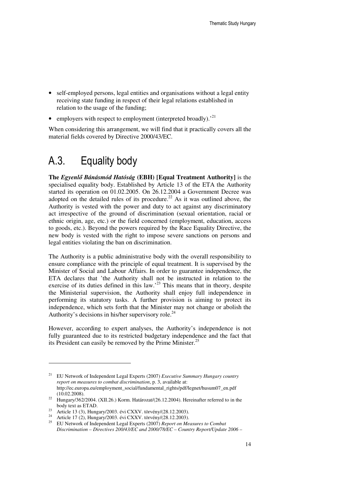- self-employed persons, legal entities and organisations without a legal entity receiving state funding in respect of their legal relations established in relation to the usage of the funding;
- employers with respect to employment (interpreted broadly). $^{21}$

When considering this arrangement, we will find that it practically covers all the material fields covered by Directive 2000/43/EC.

### A.3. Equality body

**The** *Egyenl*ő *Bánásmód Hatóság* **(EBH) [Equal Treatment Authority]** is the specialised equality body. Established by Article 13 of the ETA the Authority started its operation on 01.02.2005. On 26.12.2004 a Government Decree was adopted on the detailed rules of its procedure.<sup>22</sup> As it was outlined above, the Authority is vested with the power and duty to act against any discriminatory act irrespective of the ground of discrimination (sexual orientation, racial or ethnic origin, age, etc.) or the field concerned (employment, education, access to goods, etc.). Beyond the powers required by the Race Equality Directive, the new body is vested with the right to impose severe sanctions on persons and legal entities violating the ban on discrimination.

The Authority is a public administrative body with the overall responsibility to ensure compliance with the principle of equal treatment. It is supervised by the Minister of Social and Labour Affairs. In order to guarantee independence, the ETA declares that 'the Authority shall not be instructed in relation to the exercise of its duties defined in this law.<sup> $23$ </sup> This means that in theory, despite the Ministerial supervision, the Authority shall enjoy full independence in performing its statutory tasks. A further provision is aiming to protect its independence, which sets forth that the Minister may not change or abolish the Authority's decisions in his/her supervisory role.<sup>24</sup>

However, according to expert analyses, the Authority's independence is not fully guaranteed due to its restricted budgetary independence and the fact that its President can easily be removed by the Prime Minister. $25$ 

<sup>21</sup> EU Network of Independent Legal Experts (2007) *Executive Summary Hungary country report on measures to combat discrimination*, p. 3, available at: http://ec.europa.eu/employment\_social/fundamental\_rights/pdf/legnet/husum07\_en.pdf (10.02.2008).

 $22$  Hungary/362/2004. (XII.26.) Korm. Határozat/(26.12.2004). Hereinafter referred to in the body text as ETAD.

<sup>&</sup>lt;sup>23</sup> Article 13 (3), Hungary/2003. évi CXXV. törvény/(28.12.2003).

<sup>&</sup>lt;sup>24</sup> Article 17 (2), Hungary/2003. évi CXXV. törvény/(28.12.2003).

<sup>25</sup> EU Network of Independent Legal Experts (2007) *Report on Measures to Combat Discrimination – Directives 200/43/EC and 2000/78/EC – Country Report/Update 2006 –*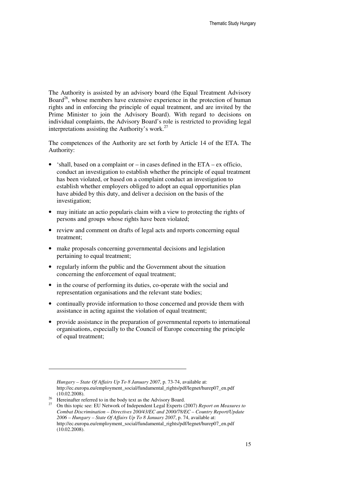The Authority is assisted by an advisory board (the Equal Treatment Advisory Board<sup>26</sup>, whose members have extensive experience in the protection of human rights and in enforcing the principle of equal treatment, and are invited by the Prime Minister to join the Advisory Board). With regard to decisions on individual complaints, the Advisory Board's role is restricted to providing legal interpretations assisting the Authority's work. $27$ 

The competences of the Authority are set forth by Article 14 of the ETA. The Authority:

- 'shall, based on a complaint or  $-$  in cases defined in the ETA  $-$  ex officio, conduct an investigation to establish whether the principle of equal treatment has been violated, or based on a complaint conduct an investigation to establish whether employers obliged to adopt an equal opportunities plan have abided by this duty, and deliver a decision on the basis of the investigation;
- may initiate an actio popularis claim with a view to protecting the rights of persons and groups whose rights have been violated;
- review and comment on drafts of legal acts and reports concerning equal treatment;
- make proposals concerning governmental decisions and legislation pertaining to equal treatment;
- regularly inform the public and the Government about the situation concerning the enforcement of equal treatment;
- in the course of performing its duties, co-operate with the social and representation organisations and the relevant state bodies;
- continually provide information to those concerned and provide them with assistance in acting against the violation of equal treatment;
- provide assistance in the preparation of governmental reports to international organisations, especially to the Council of Europe concerning the principle of equal treatment;

-

*Hungary – State Of Affairs Up To 8 January 2007*, p. 73-74, available at: http://ec.europa.eu/employment\_social/fundamental\_rights/pdf/legnet/hurep07\_en.pdf (10.02.2008).

<sup>&</sup>lt;sup>26</sup> Hereinafter referred to in the body text as the Advisory Board.

<sup>27</sup> On this topic see: EU Network of Independent Legal Experts (2007) *Report on Measures to Combat Discrimination – Directives 200/43/EC and 2000/78/EC – Country Report/Update 2006 – Hungary – State Of Affairs Up To 8 January 2007*, p. 74, available at: http://ec.europa.eu/employment\_social/fundamental\_rights/pdf/legnet/hurep07\_en.pdf (10.02.2008).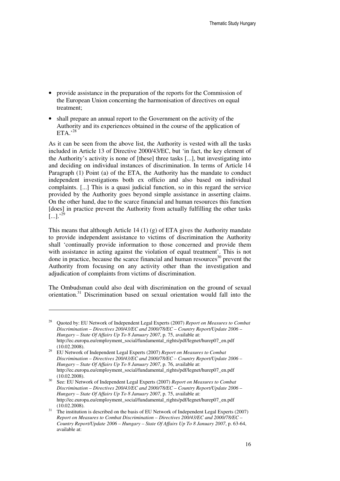- provide assistance in the preparation of the reports for the Commission of the European Union concerning the harmonisation of directives on equal treatment;
- shall prepare an annual report to the Government on the activity of the Authority and its experiences obtained in the course of the application of ETA $, 28$

As it can be seen from the above list, the Authority is vested with all the tasks included in Article 13 of Directive 2000/43/EC, but 'in fact, the key element of the Authority's activity is none of [these] three tasks [...], but investigating into and deciding on individual instances of discrimination. In terms of Article 14 Paragraph (1) Point (a) of the ETA, the Authority has the mandate to conduct independent investigations both ex officio and also based on individual complaints. [...] This is a quasi judicial function, so in this regard the service provided by the Authority goes beyond simple assistance in asserting claims. On the other hand, due to the scarce financial and human resources this function [does] in practice prevent the Authority from actually fulfilling the other tasks  $\bar{[}...]$ .<sup>29</sup>

This means that although Article 14 (1) (g) of ETA gives the Authority mandate to provide independent assistance to victims of discrimination the Authority shall 'continually provide information to those concerned and provide them with assistance in acting against the violation of equal treatment'. This is not done in practice, because the scarce financial and human resources $30$  prevent the Authority from focusing on any activity other than the investigation and adjudication of complaints from victims of discrimination.

The Ombudsman could also deal with discrimination on the ground of sexual orientation.<sup>31</sup> Discrimination based on sexual orientation would fall into the

<sup>28</sup> Quoted by: EU Network of Independent Legal Experts (2007) *Report on Measures to Combat Discrimination – Directives 200/43/EC and 2000/78/EC – Country Report/Update 2006 – Hungary – State Of Affairs Up To 8 January 2007*, p. 75, available at: http://ec.europa.eu/employment\_social/fundamental\_rights/pdf/legnet/hurep07\_en.pdf  $(10.02.2008).$ 

<sup>29</sup> EU Network of Independent Legal Experts (2007) *Report on Measures to Combat Discrimination – Directives 200/43/EC and 2000/78/EC – Country Report/Update 2006 – Hungary – State Of Affairs Up To 8 January 2007*, p. 76, available at: http://ec.europa.eu/employment\_social/fundamental\_rights/pdf/legnet/hurep07\_en.pdf (10.02.2008).

<sup>30</sup> See: EU Network of Independent Legal Experts (2007) *Report on Measures to Combat Discrimination – Directives 200/43/EC and 2000/78/EC – Country Report/Update 2006 – Hungary – State Of Affairs Up To 8 January 2007*, p. 75, available at: http://ec.europa.eu/employment\_social/fundamental\_rights/pdf/legnet/hurep07\_en.pdf (10.02.2008).

<sup>&</sup>lt;sup>31</sup> The institution is described on the basis of EU Network of Independent Legal Experts (2007) *Report on Measures to Combat Discrimination – Directives 200/43/EC and 2000/78/EC – Country Report/Update 2006 – Hungary – State Of Affairs Up To 8 January 2007*, p. 63-64, available at: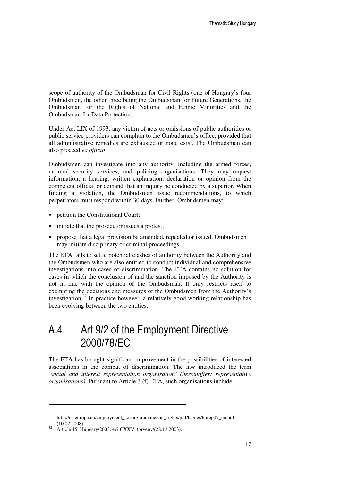scope of authority of the Ombudsman for Civil Rights (one of Hungary's four Ombudsmen, the other three being the Ombudsman for Future Generations, the Ombudsman for the Rights of National and Ethnic Minorities and the Ombudsman for Data Protection).

Under Act LIX of 1993, any victim of acts or omissions of public authorities or public service providers can complain to the Ombudsmen's office, provided that all administrative remedies are exhausted or none exist. The Ombudsmen can also proceed *ex officio*.

Ombudsmen can investigate into any authority, including the armed forces, national security services, and policing organisations. They may request information, a hearing, written explanation, declaration or opinion from the competent official or demand that an inquiry be conducted by a superior. When finding a violation, the Ombudsmen issue recommendations, to which perpetrators must respond within 30 days. Further, Ombudsmen may:

- petition the Constitutional Court;
- initiate that the prosecutor issues a protest:
- propose that a legal provision be amended, repealed or issued. Ombudsmen may initiate disciplinary or criminal proceedings.

The ETA fails to settle potential clashes of authority between the Authority and the Ombudsmen who are also entitled to conduct individual and comprehensive investigations into cases of discrimination. The ETA contains no solution for cases in which the conclusion of and the sanction imposed by the Authority is not in line with the opinion of the Ombudsman. It only restricts itself to exempting the decisions and measures of the Ombudsmen from the Authority's investigation.<sup>32</sup> In practice however, a relatively good working relationship has been evolving between the two entities.

### A.4. Art 9/2 of the Employment Directive 2000/78/EC

The ETA has brought significant improvement in the possibilities of interested associations in the combat of discrimination. The law introduced the term *'social and interest representation organisation' (hereinafter: representative organisations).* Pursuant to Article 3 (f) ETA, such organisations include

-

http://ec.europa.eu/employment\_social/fundamental\_rights/pdf/legnet/hurep07\_en.pdf (10.02.2008).

<sup>32</sup> Article 15, Hungary/2003. évi CXXV. törvény/(28.12.2003).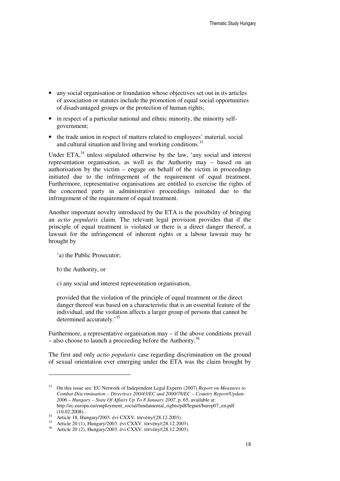- any social organisation or foundation whose objectives set out in its articles of association or statutes include the promotion of equal social opportunities of disadvantaged groups or the protection of human rights;
- in respect of a particular national and ethnic minority, the minority selfgovernment;
- the trade union in respect of matters related to employees' material, social and cultural situation and living and working conditions.<sup>33</sup>

Under  $ETA<sub>34</sub><sup>34</sup>$  unless stipulated otherwise by the law, 'any social and interest representation organisation, as well as the Authority may – based on an authorisation by the victim – engage on behalf of the victim in proceedings initiated due to the infringement of the requirement of equal treatment. Furthermore, representative organisations are entitled to exercise the rights of the concerned party in administrative proceedings initiated due to the infringement of the requirement of equal treatment.

Another important novelty introduced by the ETA is the possibility of bringing an *actio popularis* claim. The relevant legal provision provides that if the principle of equal treatment is violated or there is a direct danger thereof, a lawsuit for the infringement of inherent rights or a labour lawsuit may be brought by

- 'a) the Public Prosecutor;
- b) the Authority, or

c) any social and interest representation organisation,

provided that the violation of the principle of equal treatment or the direct danger thereof was based on a characteristic that is an essential feature of the individual, and the violation affects a larger group of persons that cannot be determined accurately.<sup>35</sup>

Furthermore, a representative organisation may – if the above conditions prevail  $-$  also choose to launch a proceeding before the Authority.<sup>36</sup>

The first and only *actio popularis* case regarding discrimination on the ground of sexual orientation ever emerging under the ETA was the claim brought by

<sup>33</sup> On this issue see: EU Network of Independent Legal Experts (2007) *Report on Measures to Combat Discrimination – Directives 200/43/EC and 2000/78/EC – Country Report/Update 2006 – Hungary – State Of Affairs Up To 8 January 2007*, p. 65, available at: http://ec.europa.eu/employment\_social/fundamental\_rights/pdf/legnet/hurep07\_en.pdf (10.02.2008)..

 $34$  Article 18, Hungary/2003. évi CXXV. törvény/(28.12.2003).

<sup>35</sup> Article 20 (1), Hungary/2003. évi CXXV. törvény/(28.12.2003).

<sup>36</sup> Article 20 (2), Hungary/2003. évi CXXV. törvény/(28.12.2003).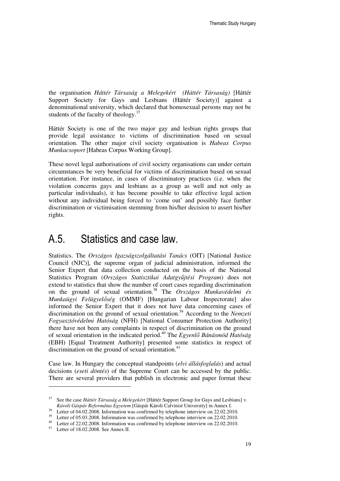the organisation *Háttér Társaság a Melegekért (Háttér Társaság)* [Háttér Support Society for Gays and Lesbians (Háttér Society)] against a denominational university, which declared that homosexual persons may not be students of the faculty of theology. $37$ 

Háttér Society is one of the two major gay and lesbian rights groups that provide legal assistance to victims of discrimination based on sexual orientation. The other major civil society organisation is *Habeas Corpus Munkacsoport* [Habeas Corpus Working Group].

These novel legal authorisations of civil society organisations can under certain circumstances be very beneficial for victims of discrimination based on sexual orientation. For instance, in cases of discriminatory practices (i.e. when the violation concerns gays and lesbians as a group as well and not only as particular individuals), it has become possible to take effective legal action without any individual being forced to 'come out' and possibly face further discrimination or victimisation stemming from his/her decision to assert his/her rights.

#### A.5. Statistics and case law.

Statistics. The *Országos Igazságszolgáltatási Tanács* (OIT) [National Justice Council (NJC)], the supreme organ of judicial administration, informed the Senior Expert that data collection conducted on the basis of the National Statistics Program (*Országos Statisztikai Adatgy*ű*jtési Program*) does not extend to statistics that show the number of court cases regarding discrimination on the ground of sexual orientation.<sup>38</sup> The *Országos Munkavédelmi és Munkaügyi Felügyel*ő*ség* (OMMF) [Hungarian Labour Inspectorate] also informed the Senior Expert that it does not have data concerning cases of discrimination on the ground of sexual orientation.<sup>39</sup> According to the *Nemzeti Fogyasztóvédelmi Hatóság* (NFH) [National Consumer Protection Authority] there have not been any complaints in respect of discrimination on the ground of sexual orientation in the indicated period.<sup>40</sup> The *Egyenl*ő *Bánásmód Hatóság* (EBH) [Equal Treatment Authority] presented some statistics in respect of discrimination on the ground of sexual orientation. $41$ 

Case law. In Hungary the conceptual standpoints (*elvi állásfoglalás*) and actual decisions (*eseti döntés*) of the Supreme Court can be accessed by the public. There are several providers that publish in electronic and paper format these

<sup>&</sup>lt;sup>37</sup> See the case *Háttér Társaság a Melegekért* [Háttér Support Group for Gays and Lesbians] v. *Károli Gáspár Református Egyetem* [Gáspár Károli Calvinist University] in Annex I.

<sup>&</sup>lt;sup>38</sup> Letter of 04.02.2008. Information was confirmed by telephone interview on 22.02.2010.

<sup>&</sup>lt;sup>39</sup> Letter of 05.03.2008. Information was confirmed by telephone interview on 22.02.2010.

<sup>40</sup> Letter of 22.02.2008. Information was confirmed by telephone interview on 22.02.2010.

<sup>41</sup> Letter of 18.02.2008. See Annex II.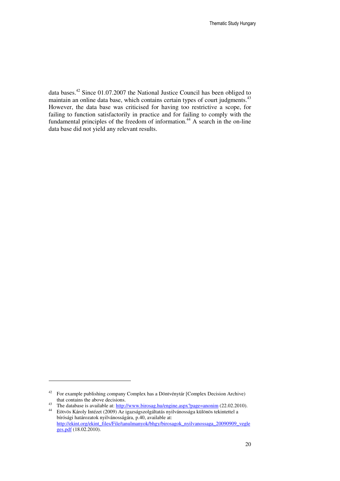data bases.<sup>42</sup> Since 01.07.2007 the National Justice Council has been obliged to maintain an online data base, which contains certain types of court judgments.<sup>43</sup> However, the data base was criticised for having too restrictive a scope, for failing to function satisfactorily in practice and for failing to comply with the fundamental principles of the freedom of information.<sup>44</sup> A search in the on-line data base did not yield any relevant results.

<sup>42</sup> For example publishing company Complex has a Döntvénytár [Complex Decision Archive) that contains the above decisions.

<sup>43</sup> The database is available at: http://www.birosag.hu/engine.aspx?page=anonim (22.02.2010).

<sup>44</sup> Eötvös Károly Intézet (2009) Az igazságszolgáltatás nyilvánossága különös tekintettel a bírósági határozatok nyilvánosságára, p.40, available at: http://ekint.org/ekint\_files/File/tanulmanyok/bhgy/birosagok\_nyilvanossaga\_20090909\_vegle ges.pdf (18.02.2010).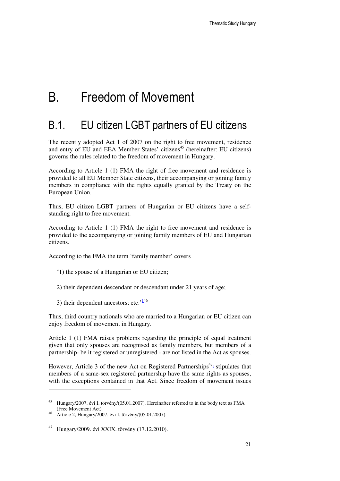# B. Freedom of Movement

#### B.1. EU citizen LGBT partners of EU citizens

The recently adopted Act 1 of 2007 on the right to free movement, residence and entry of EU and EEA Member States' citizens<sup>45</sup> (hereinafter: EU citizens) governs the rules related to the freedom of movement in Hungary.

According to Article 1 (1) FMA the right of free movement and residence is provided to all EU Member State citizens, their accompanying or joining family members in compliance with the rights equally granted by the Treaty on the European Union.

Thus, EU citizen LGBT partners of Hungarian or EU citizens have a selfstanding right to free movement.

According to Article 1 (1) FMA the right to free movement and residence is provided to the accompanying or joining family members of EU and Hungarian citizens.

According to the FMA the term 'family member' covers

- '1) the spouse of a Hungarian or EU citizen;
- 2) their dependent descendant or descendant under 21 years of age;
- 3) their dependent ancestors; etc. $146$

Thus, third country nationals who are married to a Hungarian or EU citizen can enjoy freedom of movement in Hungary.

Article 1 (1) FMA raises problems regarding the principle of equal treatment given that only spouses are recognised as family members, but members of a partnership- be it registered or unregistered - are not listed in the Act as spouses.

However, Article 3 of the new Act on Registered Partnerships<sup> $47<sub>1</sub>$ </sup> stipulates that members of a same-sex registered partnership have the same rights as spouses, with the exceptions contained in that Act. Since freedom of movement issues

<sup>45</sup> Hungary/2007. évi I. törvény/(05.01.2007). Hereinafter referred to in the body text as FMA (Free Movement Act).

<sup>46</sup> Article 2, Hungary/2007. évi I. törvény/(05.01.2007).

<sup>47</sup> Hungary/2009. évi XXIX. törvény (17.12.2010).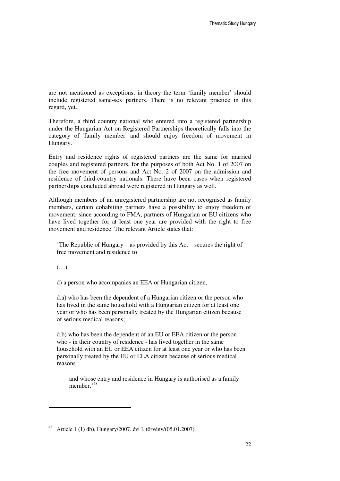are not mentioned as exceptions, in theory the term 'family member' should include registered same-sex partners. There is no relevant practice in this regard, yet..

Therefore, a third country national who entered into a registered partnership under the Hungarian Act on Registered Partnerships theoretically falls into the category of 'family member' and should enjoy freedom of movement in Hungary.

Entry and residence rights of registered partners are the same for married couples and registered partners, for the purposes of both Act No. 1 of 2007 on the free movement of persons and Act No. 2 of 2007 on the admission and residence of third-country nationals. There have been cases when registered partnerships concluded abroad were registered in Hungary as well.

Although members of an unregistered partnership are not recognised as family members, certain cohabiting partners have a possibility to enjoy freedom of movement, since according to FMA, partners of Hungarian or EU citizens who have lived together for at least one year are provided with the right to free movement and residence. The relevant Article states that:

'The Republic of Hungary – as provided by this Act – secures the right of free movement and residence to

(…)

d) a person who accompanies an EEA or Hungarian citizen,

d.a) who has been the dependent of a Hungarian citizen or the person who has lived in the same household with a Hungarian citizen for at least one year or who has been personally treated by the Hungarian citizen because of serious medical reasons;

d.b) who has been the dependent of an EU or EEA citizen or the person who - in their country of residence - has lived together in the same household with an EU or EEA citizen for at least one year or who has been personally treated by the EU or EEA citizen because of serious medical reasons

and whose entry and residence in Hungary is authorised as a family member.<sup>'48</sup>

<sup>48</sup> Article 1 (1) db), Hungary/2007. évi I. törvény/(05.01.2007).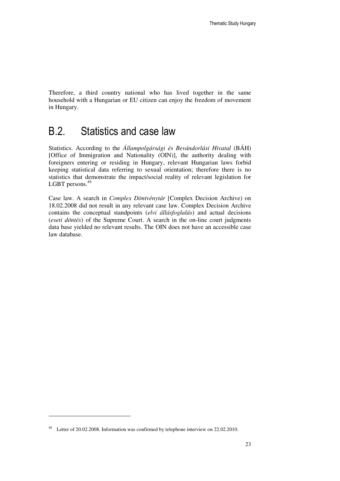Therefore, a third country national who has lived together in the same household with a Hungarian or EU citizen can enjoy the freedom of movement in Hungary.

#### B.2. Statistics and case law

Statistics. According to the *Állampolgársági és Bevándorlási Hivatal* (BÁH) [Office of Immigration and Nationality (OIN)], the authority dealing with foreigners entering or residing in Hungary, relevant Hungarian laws forbid keeping statistical data referring to sexual orientation; therefore there is no statistics that demonstrate the impact/social reality of relevant legislation for LGBT persons.<sup>49</sup>

Case law. A search in *Complex Döntvénytár* [Complex Decision Archive) on 18.02.2008 did not result in any relevant case law. Complex Decision Archive contains the conceptual standpoints (*elvi állásfoglalás*) and actual decisions (*eseti döntés*) of the Supreme Court. A search in the on-line court judgments data base yielded no relevant results. The OIN does not have an accessible case law database.

<sup>49</sup> Letter of 20.02.2008. Information was confirmed by telephone interview on 22.02.2010.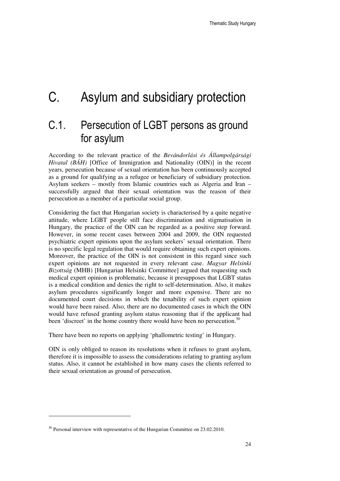# C. Asylum and subsidiary protection

### C.1. Persecution of LGBT persons as ground for asylum

According to the relevant practice of the *Bevándorlási és Állampolgársági Hivatal (BÁH)* [Office of Immigration and Nationality (OIN)] in the recent years, persecution because of sexual orientation has been continuously accepted as a ground for qualifying as a refugee or beneficiary of subsidiary protection. Asylum seekers – mostly from Islamic countries such as Algeria and Iran – successfully argued that their sexual orientation was the reason of their persecution as a member of a particular social group.

Considering the fact that Hungarian society is characterised by a quite negative attitude, where LGBT people still face discrimination and stigmatisation in Hungary, the practice of the OIN can be regarded as a positive step forward. However, in some recent cases between 2004 and 2009, the OIN requested psychiatric expert opinions upon the asylum seekers' sexual orientation. There is no specific legal regulation that would require obtaining such expert opinions. Moreover, the practice of the OIN is not consistent in this regard since such expert opinions are not requested in every relevant case. *Magyar Helsinki Bizottság* (MHB) [Hungarian Helsinki Committee] argued that requesting such medical expert opinion is problematic, because it presupposes that LGBT status is a medical condition and denies the right to self-determination. Also, it makes asylum procedures significantly longer and more expensive. There are no documented court decisions in which the tenability of such expert opinion would have been raised. Also, there are no documented cases in which the OIN would have refused granting asylum status reasoning that if the applicant had been 'discreet' in the home country there would have been no persecution.<sup>50</sup>

There have been no reports on applying 'phallometric testing' in Hungary.

OIN is only obliged to reason its resolutions when it refuses to grant asylum, therefore it is impossible to assess the considerations relating to granting asylum status. Also, it cannot be established in how many cases the clients referred to their sexual orientation as ground of persecution.

<sup>&</sup>lt;sup>50</sup> Personal interview with representative of the Hungarian Committee on 23.02.2010.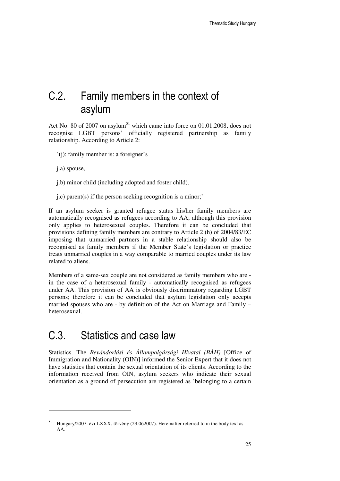### C.2. Family members in the context of asylum

Act No. 80 of 2007 on asylum<sup>51</sup> which came into force on  $01.01.2008$ , does not recognise LGBT persons' officially registered partnership as family relationship. According to Article 2:

- '(j): family member is: a foreigner's
- j.a) spouse,

- j.b) minor child (including adopted and foster child),
- j.c) parent(s) if the person seeking recognition is a minor;'

If an asylum seeker is granted refugee status his/her family members are automatically recognised as refugees according to AA; although this provision only applies to heterosexual couples. Therefore it can be concluded that provisions defining family members are contrary to Article 2 (h) of 2004/83/EC imposing that unmarried partners in a stable relationship should also be recognised as family members if the Member State's legislation or practice treats unmarried couples in a way comparable to married couples under its law related to aliens.

Members of a same-sex couple are not considered as family members who are in the case of a heterosexual family - automatically recognised as refugees under AA. This provision of AA is obviously discriminatory regarding LGBT persons; therefore it can be concluded that asylum legislation only accepts married spouses who are - by definition of the Act on Marriage and Family – heterosexual.

#### C.3. Statistics and case law

Statistics. The *Bevándorlási és Állampolgársági Hivatal (BÁH)* [Office of Immigration and Nationality (OIN)] informed the Senior Expert that it does not have statistics that contain the sexual orientation of its clients. According to the information received from OIN, asylum seekers who indicate their sexual orientation as a ground of persecution are registered as 'belonging to a certain

<sup>51</sup> Hungary/2007. évi LXXX. törvény (29.062007). Hereinafter referred to in the body text as AA.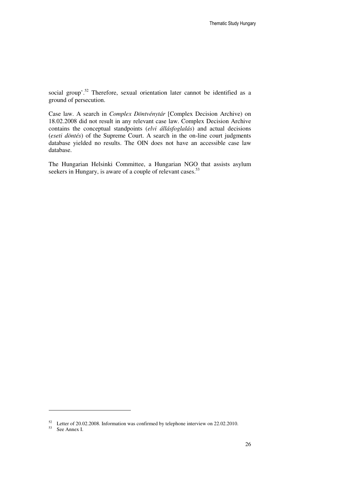social group'.<sup>52</sup> Therefore, sexual orientation later cannot be identified as a ground of persecution.

Case law. A search in *Complex Döntvénytár* [Complex Decision Archive) on 18.02.2008 did not result in any relevant case law. Complex Decision Archive contains the conceptual standpoints (*elvi állásfoglalás*) and actual decisions (*eseti döntés*) of the Supreme Court. A search in the on-line court judgments database yielded no results. The OIN does not have an accessible case law database.

The Hungarian Helsinki Committee, a Hungarian NGO that assists asylum seekers in Hungary, is aware of a couple of relevant cases.<sup>53</sup>

<sup>52</sup> Letter of 20.02.2008. Information was confirmed by telephone interview on 22.02.2010.

<sup>53</sup> See Annex I.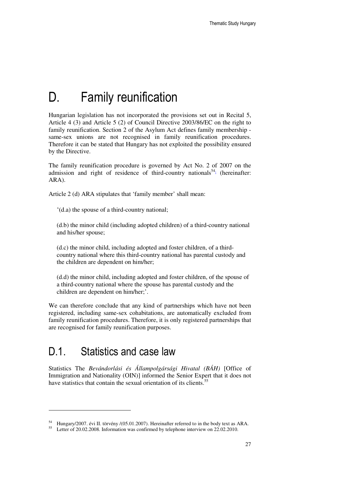# D. Family reunification

Hungarian legislation has not incorporated the provisions set out in Recital 5, Article 4 (3) and Article 5 (2) of Council Directive 2003/86/EC on the right to family reunification. Section 2 of the Asylum Act defines family membership same-sex unions are not recognised in family reunification procedures. Therefore it can be stated that Hungary has not exploited the possibility ensured by the Directive.

The family reunification procedure is governed by Act No. 2 of 2007 on the admission and right of residence of third-country nationals<sup>54</sup><sup>1</sup> (hereinafter: ARA).

Article 2 (d) ARA stipulates that 'family member' shall mean:

'(d.a) the spouse of a third-country national;

(d.b) the minor child (including adopted children) of a third-country national and his/her spouse;

(d.c) the minor child, including adopted and foster children, of a thirdcountry national where this third-country national has parental custody and the children are dependent on him/her;

(d.d) the minor child, including adopted and foster children, of the spouse of a third-country national where the spouse has parental custody and the children are dependent on him/her;'.

We can therefore conclude that any kind of partnerships which have not been registered, including same-sex cohabitations, are automatically excluded from family reunification procedures. Therefore, it is only registered partnerships that are recognised for family reunification purposes.

#### D.1. Statistics and case law

Statistics The *Bevándorlási és Állampolgársági Hivatal (BÁH)* [Office of Immigration and Nationality (OIN)] informed the Senior Expert that it does not have statistics that contain the sexual orientation of its clients.<sup>55</sup>

<sup>54</sup> Hungary/2007. évi II. törvény /(05.01.2007). Hereinafter referred to in the body text as ARA.

<sup>55</sup> Letter of 20.02.2008. Information was confirmed by telephone interview on 22.02.2010.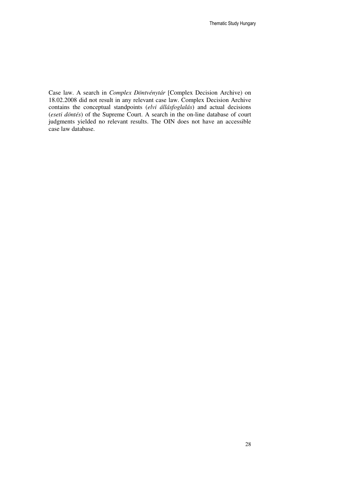Case law. A search in *Complex Döntvénytár* [Complex Decision Archive) on 18.02.2008 did not result in any relevant case law. Complex Decision Archive contains the conceptual standpoints (*elvi állásfoglalás*) and actual decisions (*eseti döntés*) of the Supreme Court. A search in the on-line database of court judgments yielded no relevant results. The OIN does not have an accessible case law database.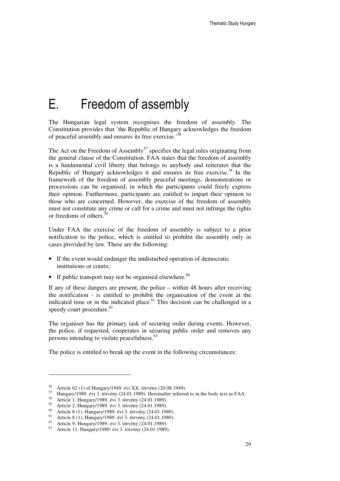## E. Freedom of assembly

The Hungarian legal system recognises the freedom of assembly. The Constitution provides that 'the Republic of Hungary acknowledges the freedom of peaceful assembly and ensures its free exercise.<sup>56</sup>

The Act on the Freedom of Assembly<sup>57</sup> specifies the legal rules originating from the general clause of the Constitution. FAA states that the freedom of assembly is a fundamental civil liberty that belongs to anybody and reiterates that the Republic of Hungary acknowledges it and ensures its free exercise.<sup>58</sup> In the framework of the freedom of assembly peaceful meetings, demonstrations or processions can be organised, in which the participants could freely express their opinion. Furthermore, participants are entitled to impart their opinion to those who are concerned. However, the exercise of the freedom of assembly must not constitute any crime or call for a crime and must not infringe the rights or freedoms of others.<sup>5</sup>

Under FAA the exercise of the freedom of assembly is subject to a prior notification to the police, which is entitled to prohibit the assembly only in cases provided by law. These are the following:

- If the event would endanger the undisturbed operation of democratic institutions or courts;
- If public transport may not be organised elsewhere. $60$

If any of these dangers are present, the police – within 48 hours after receiving the notification - is entitled to prohibit the organisation of the event at the indicated time or in the indicated place.<sup>61</sup> This decision can be challenged in a speedy court procedure. $62$ 

The organiser has the primary task of securing order during events. However, the police, if requested, cooperates in securing public order and removes any persons intending to violate peacefulness.<sup>63</sup>

The police is entitled to break up the event in the following circumstances:

<sup>56</sup> Article 62 (1) of Hungary/1949. évi XX. törvény (20.08.1949).

<sup>57</sup> Hungary/1989. évi 3. törvény (24.01.1989). Hereinafter referred to in the body text as FAA.

<sup>58</sup> Article 1, Hungary/1989. évi 3. törvény (24.01.1989).

<sup>59</sup> Article 2, Hungary/1989. évi 3. törvény (24.01.1989).

<sup>60</sup> Article 8 (1), Hungary/1989. évi 3. törvény (24.01.1989).

 $61$  Article 8 (1), Hungary/1989. évi 3. törvény (24.01.1989).

 $62$  Article 9, Hungary/1989. évi 3. törvény (24.01.1989).

<sup>63</sup> Article 11, Hungary/1989. évi 3. törvény (24.01.1989).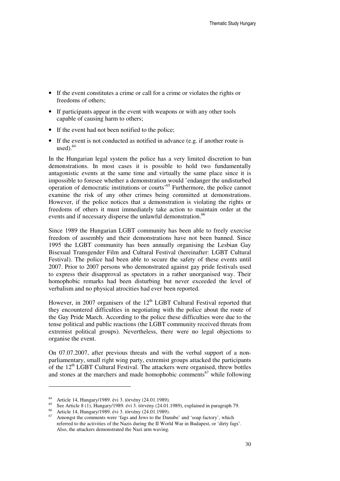- If the event constitutes a crime or call for a crime or violates the rights or freedoms of others;
- If participants appear in the event with weapons or with any other tools capable of causing harm to others;
- If the event had not been notified to the police;
- If the event is not conducted as notified in advance (e.g. if another route is used $)$ .<sup>64</sup>

In the Hungarian legal system the police has a very limited discretion to ban demonstrations. In most cases it is possible to hold two fundamentally antagonistic events at the same time and virtually the same place since it is impossible to foresee whether a demonstration would 'endanger the undisturbed operation of democratic institutions or courts'<sup>65</sup> Furthermore, the police cannot examine the risk of any other crimes being committed at demonstrations. However, if the police notices that a demonstration is violating the rights or freedoms of others it must immediately take action to maintain order at the events and if necessary disperse the unlawful demonstration.<sup>66</sup>

Since 1989 the Hungarian LGBT community has been able to freely exercise freedom of assembly and their demonstrations have not been banned. Since 1995 the LGBT community has been annually organising the Lesbian Gay Bisexual Transgender Film and Cultural Festival (hereinafter: LGBT Cultural Festival). The police had been able to secure the safety of these events until 2007. Prior to 2007 persons who demonstrated against gay pride festivals used to express their disapproval as spectators in a rather unorganised way. Their homophobic remarks had been disturbing but never exceeded the level of verbalism and no physical atrocities had ever been reported.

However, in 2007 organisers of the  $12<sup>th</sup>$  LGBT Cultural Festival reported that they encountered difficulties in negotiating with the police about the route of the Gay Pride March. According to the police these difficulties were due to the tense political and public reactions (the LGBT community received threats from extremist political groups). Nevertheless, there were no legal objections to organise the event.

On 07.07.2007, after previous threats and with the verbal support of a nonparliamentary, small right wing party, extremist groups attacked the participants of the  $12<sup>th</sup>$  LGBT Cultural Festival. The attackers were organised, threw bottles and stones at the marchers and made homophobic comments<sup>67</sup> while following

<sup>64</sup> Article 14, Hungary/1989. évi 3. törvény (24.01.1989).

<sup>65</sup> See Article 8 (1), Hungary/1989. évi 3. törvény (24.01.1989), explained in paragraph 79.

<sup>&</sup>lt;sup>66</sup> Article 14, Hungary/1989. évi 3. törvény (24.01.1989).<br><sup>67</sup> Amenest the comments were free and Jawe to the Dan

Amongst the comments were 'fags and Jews to the Danube' and 'soap factory', which referred to the activities of the Nazis during the II World War in Budapest, or 'dirty fags'. Also, the attackers demonstrated the Nazi arm waving.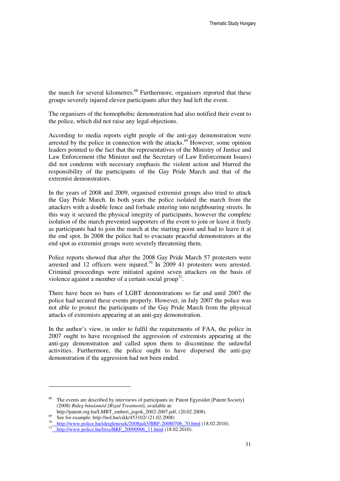the march for several kilometres.<sup>68</sup> Furthermore, organisers reported that these groups severely injured eleven participants after they had left the event.

The organisers of the homophobic demonstration had also notified their event to the police, which did not raise any legal objections.

According to media reports eight people of the anti-gay demonstration were arrested by the police in connection with the attacks.<sup>69</sup> However, some opinion leaders pointed to the fact that the representatives of the Ministry of Justice and Law Enforcement (the Minister and the Secretary of Law Enforcement Issues) did not condemn with necessary emphasis the violent action and blurred the responsibility of the participants of the Gay Pride March and that of the extremist demonstrators.

In the years of 2008 and 2009, organised extremist groups also tried to attack the Gay Pride March. In both years the police isolated the march from the attackers with a double fence and forbade entering into neighbouring streets. In this way it secured the physical integrity of participants, however the complete isolation of the march prevented supporters of the event to join or leave it freely as participants had to join the march at the starting point and had to leave it at the end spot. In 2008 the police had to evacuate peaceful demonstrators at the end spot as extremist groups were severely threatening them.

Police reports showed that after the 2008 Gay Pride March 57 protesters were arrested and 12 officers were injured.<sup>70</sup> In 2009 41 protesters were arrested. Criminal proceedings were initiated against seven attackers on the basis of violence against a member of a certain social group<sup>71</sup>.

There have been no bans of LGBT demonstrations so far and until 2007 the police had secured these events properly. However, in July 2007 the police was not able to protect the participants of the Gay Pride March from the physical attacks of extremists appearing at an anti-gay demonstration.

In the author's view, in order to fulfil the requirements of FAA, the police in 2007 ought to have recognised the aggression of extremists appearing at the anti-gay demonstration and called upon them to discontinue the unlawful activities. Furthermore, the police ought to have dispersed the anti-gay demonstration if the aggression had not been ended.

<sup>&</sup>lt;sup>68</sup> The events are described by interviews of participants in: Patent Egyesület [Patent Society] (2008) *Rideg bánásmód [Rigid Treatment*], available at:

http://patent.org.hu/LMBT\_emberi\_jogok\_2002-2007.pdf, (20.02.2008).

<sup>69</sup> See for example: http://nol.hu/cikk/ $\frac{1}{4}$ 53102/ (21.02.2008)

http://www.police.hu/ideiglenesek/2008juli5/BRF-20080706\_70.html (18.02.2010).

<sup>71</sup> http://www.police.hu/friss/BRF\_20090906\_11.html (18.02.2010).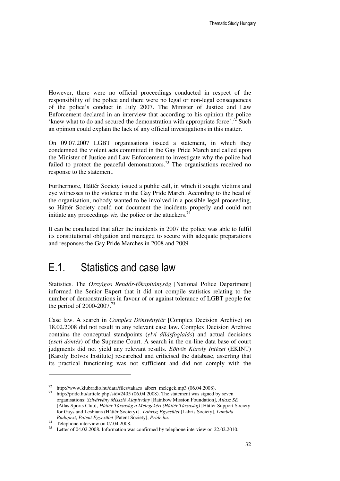However, there were no official proceedings conducted in respect of the responsibility of the police and there were no legal or non-legal consequences of the police's conduct in July 2007. The Minister of Justice and Law Enforcement declared in an interview that according to his opinion the police 'knew what to do and secured the demonstration with appropriate force'.<sup>72</sup> Such an opinion could explain the lack of any official investigations in this matter.

On 09.07.2007 LGBT organisations issued a statement, in which they condemned the violent acts committed in the Gay Pride March and called upon the Minister of Justice and Law Enforcement to investigate why the police had failed to protect the peaceful demonstrators.<sup>73</sup> The organisations received no response to the statement.

Furthermore, Háttér Society issued a public call, in which it sought victims and eye witnesses to the violence in the Gay Pride March. According to the head of the organisation, nobody wanted to be involved in a possible legal proceeding, so Háttér Society could not document the incidents properly and could not initiate any proceedings *viz*. the police or the attackers.<sup>74</sup>

It can be concluded that after the incidents in 2007 the police was able to fulfil its constitutional obligation and managed to secure with adequate preparations and responses the Gay Pride Marches in 2008 and 2009.

### E.1. Statistics and case law

Statistics. The *Országos Rend*ő*r-f*ő*kapitányság* [National Police Department] informed the Senior Expert that it did not compile statistics relating to the number of demonstrations in favour of or against tolerance of LGBT people for the period of 2000-2007.<sup>75</sup>

Case law. A search in *Complex Döntvénytár* [Complex Decision Archive) on 18.02.2008 did not result in any relevant case law. Complex Decision Archive contains the conceptual standpoints (*elvi állásfoglalás*) and actual decisions (*eseti döntés*) of the Supreme Court. A search in the on-line data base of court judgments did not yield any relevant results. *Eötvös Károly Intézet* (EKINT) [Karoly Eotvos Institute] researched and criticised the database, asserting that its practical functioning was not sufficient and did not comply with the

<sup>&</sup>lt;sup>72</sup> http://www.klubradio.hu/data/files/takacs\_albert\_melegek.mp3 (06.04.2008).

http://pride.hu/article.php?sid=2405 (06.04.2008). The statement was signed by seven organisations: *Szivárvány Misszió Alapítvány* [Rainbow Mission Foundation], *Atlasz SE* [Atlas Sports Club], *Háttér Társaság a Melegekért (Háttér Társaság)* [Háttér Support Society for Gays and Lesbians (Háttér Society)] , *Labrisz Egyesület* [Labris Society], *Lambda Budapest*, *Patent Egyesület* [Patent Society], *Pride.hu*.

<sup>&</sup>lt;sup>74</sup> Telephone interview on 07.04.2008.

<sup>75</sup> Letter of 04.02.2008. Information was confirmed by telephone interview on 22.02.2010.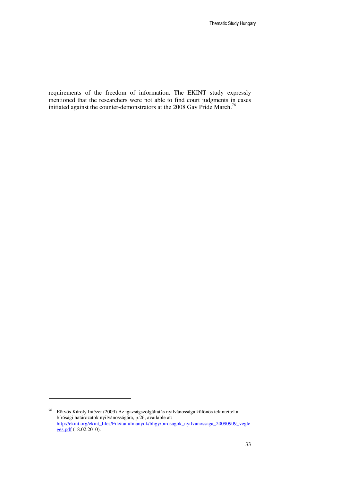requirements of the freedom of information. The EKINT study expressly mentioned that the researchers were not able to find court judgments in cases initiated against the counter-demonstrators at the 2008 Gay Pride March.<sup>76</sup>

 $^{76}$  Eötvös Károly Intézet (2009) Az igazságszolgáltatás nyilvánossága különös tekintettel a bírósági határozatok nyilvánosságára, p.26, available at: http://ekint.org/ekint\_files/File/tanulmanyok/bhgy/birosagok\_nyilvanossaga\_20090909\_vegle ges.pdf (18.02.2010).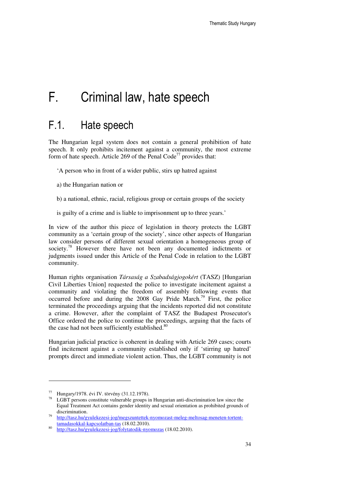### F. Criminal law, hate speech

### F.1. Hate speech

The Hungarian legal system does not contain a general prohibition of hate speech. It only prohibits incitement against a community, the most extreme form of hate speech. Article 269 of the Penal Code<sup>77</sup> provides that:

'A person who in front of a wider public, stirs up hatred against

- a) the Hungarian nation or
- b) a national, ethnic, racial, religious group or certain groups of the society
- is guilty of a crime and is liable to imprisonment up to three years.'

In view of the author this piece of legislation in theory protects the LGBT community as a 'certain group of the society', since other aspects of Hungarian law consider persons of different sexual orientation a homogeneous group of society.<sup>78</sup> However there have not been any documented indictments or judgments issued under this Article of the Penal Code in relation to the LGBT community.

Human rights organisation *Társaság a Szabadságjogokért* (TASZ) [Hungarian Civil Liberties Union] requested the police to investigate incitement against a community and violating the freedom of assembly following events that occurred before and during the 2008 Gay Pride March. <sup>79</sup> First, the police terminated the proceedings arguing that the incidents reported did not constitute a crime. However, after the complaint of TASZ the Budapest Prosecutor's Office ordered the police to continue the proceedings, arguing that the facts of the case had not been sufficiently established.<sup>80</sup>

Hungarian judicial practice is coherent in dealing with Article 269 cases; courts find incitement against a community established only if 'stirring up hatred' prompts direct and immediate violent action. Thus, the LGBT community is not

<sup>77</sup> Hungary/1978. évi IV. törvény (31.12.1978).

LGBT persons constitute vulnerable groups in Hungarian anti-discrimination law since the Equal Treatment Act contains gender identity and sexual orientation as prohibited grounds of discrimination.

<sup>79</sup> http://tasz.hu/gyulekezesi-jog/megszuntettek-nyomozast-meleg-meltosag-meneten-tortenttamadasokkal-kapcsolatban-tas (18.02.2010). 80

http://tasz.hu/gyulekezesi-jog/folytatodik-nyomozas (18.02.2010).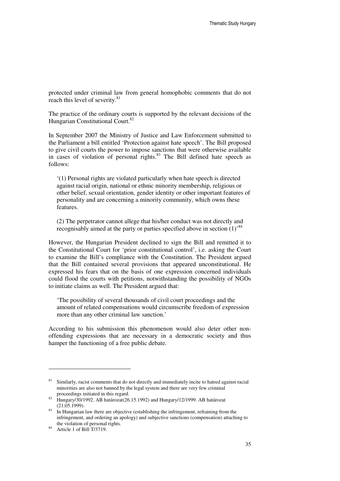protected under criminal law from general homophobic comments that do not reach this level of severity.<sup>81</sup>

The practice of the ordinary courts is supported by the relevant decisions of the Hungarian Constitutional Court.<sup>82</sup>

In September 2007 the Ministry of Justice and Law Enforcement submitted to the Parliament a bill entitled 'Protection against hate speech'. The Bill proposed to give civil courts the power to impose sanctions that were otherwise available in cases of violation of personal rights. $83$  The Bill defined hate speech as follows:

'(1) Personal rights are violated particularly when hate speech is directed against racial origin, national or ethnic minority membership, religious or other belief, sexual orientation, gender identity or other important features of personality and are concerning a minority community, which owns these features.

(2) The perpetrator cannot allege that his/her conduct was not directly and recognisably aimed at the party or parties specified above in section  $(1)^{84}$ 

However, the Hungarian President declined to sign the Bill and remitted it to the Constitutional Court for 'prior constitutional control', i.e. asking the Court to examine the Bill's compliance with the Constitution. The President argued that the Bill contained several provisions that appeared unconstitutional. He expressed his fears that on the basis of one expression concerned individuals could flood the courts with petitions, notwithstanding the possibility of NGOs to initiate claims as well. The President argued that:

'The possibility of several thousands of civil court proceedings and the amount of related compensations would circumscribe freedom of expression more than any other criminal law sanction.'

According to his submission this phenomenon would also deter other nonoffending expressions that are necessary in a democratic society and thus hamper the functioning of a free public debate.

<sup>&</sup>lt;sup>81</sup> Similarly, racist comments that do not directly and immediately incite to hatred against racial minorities are also not banned by the legal system and there are very few criminal proceedings initiated in this regard.

<sup>82</sup> Hungary/30/1992. AB határozat(26.15.1992) and Hungary/12/1999. AB határozat (21.05.1999).

<sup>&</sup>lt;sup>83</sup> In Hungarian law there are objective (establishing the infringement, refraining from the infringement, and ordering an apology) and subjective sanctions (compensation) attaching to the violation of personal rights.

<sup>84</sup> Article 1 of Bill T/3719.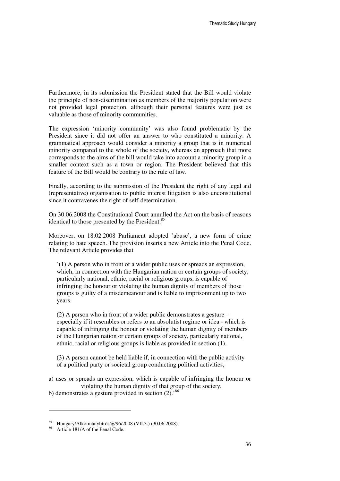Furthermore, in its submission the President stated that the Bill would violate the principle of non-discrimination as members of the majority population were not provided legal protection, although their personal features were just as valuable as those of minority communities.

The expression 'minority community' was also found problematic by the President since it did not offer an answer to who constituted a minority. A grammatical approach would consider a minority a group that is in numerical minority compared to the whole of the society, whereas an approach that more corresponds to the aims of the bill would take into account a minority group in a smaller context such as a town or region. The President believed that this feature of the Bill would be contrary to the rule of law.

Finally, according to the submission of the President the right of any legal aid (representative) organisation to public interest litigation is also unconstitutional since it contravenes the right of self-determination.

On 30.06.2008 the Constitutional Court annulled the Act on the basis of reasons identical to those presented by the President.<sup>85</sup>

Moreover, on 18.02.2008 Parliament adopted 'abuse', a new form of crime relating to hate speech. The provision inserts a new Article into the Penal Code. The relevant Article provides that

'(1) A person who in front of a wider public uses or spreads an expression, which, in connection with the Hungarian nation or certain groups of society, particularly national, ethnic, racial or religious groups, is capable of infringing the honour or violating the human dignity of members of those groups is guilty of a misdemeanour and is liable to imprisonment up to two years.

(2) A person who in front of a wider public demonstrates a gesture – especially if it resembles or refers to an absolutist regime or idea - which is capable of infringing the honour or violating the human dignity of members of the Hungarian nation or certain groups of society, particularly national, ethnic, racial or religious groups is liable as provided in section (1).

(3) A person cannot be held liable if, in connection with the public activity of a political party or societal group conducting political activities,

a) uses or spreads an expression, which is capable of infringing the honour or violating the human dignity of that group of the society,

b) demonstrates a gesture provided in section  $(2)$ .<sup>86</sup>

<sup>85</sup> Hungary/Alkotmánybíróság/96/2008 (VII.3.) (30.06.2008).

Article 181/A of the Penal Code.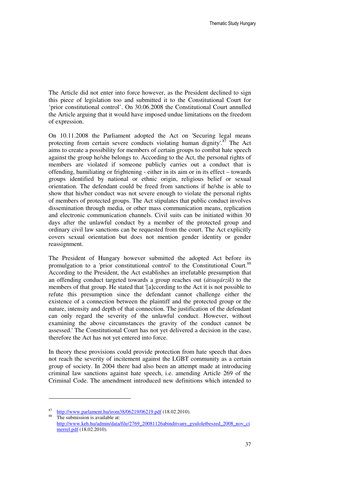The Article did not enter into force however, as the President declined to sign this piece of legislation too and submitted it to the Constitutional Court for 'prior constitutional control'. On 30.06.2008 the Constitutional Court annulled the Article arguing that it would have imposed undue limitations on the freedom of expression.

On 10.11.2008 the Parliament adopted the Act on 'Securing legal means protecting from certain severe conducts violating human dignity'. $87$  The Act aims to create a possibility for members of certain groups to combat hate speech against the group he/she belongs to. According to the Act, the personal rights of members are violated if someone publicly carries out a conduct that is offending, humiliating or frightening - either in its aim or in its effect – towards groups identified by national or ethnic origin, religious belief or sexual orientation. The defendant could be freed from sanctions if he/she is able to show that his/her conduct was not severe enough to violate the personal rights of members of protected groups. The Act stipulates that public conduct involves dissemination through media, or other mass communication means, replication and electronic communication channels. Civil suits can be initiated within 30 days after the unlawful conduct by a member of the protected group and ordinary civil law sanctions can be requested from the court. The Act explicitly covers sexual orientation but does not mention gender identity or gender reassignment.

The President of Hungary however submitted the adopted Act before its promulgation to a 'prior constitutional control' to the Constitutional Court.<sup>88</sup> According to the President, the Act establishes an irrefutable presumption that an offending conduct targeted towards a group reaches out (*átsugárzik*) to the members of that group. He stated that '[a]ccording to the Act it is not possible to refute this presumption since the defendant cannot challenge either the existence of a connection between the plaintiff and the protected group or the nature, intensity and depth of that connection. The justification of the defendant can only regard the severity of the unlawful conduct. However, without examining the above circumstances the gravity of the conduct cannot be assessed.' The Constitutional Court has not yet delivered a decision in the case, therefore the Act has not yet entered into force.

In theory these provisions could provide protection from hate speech that does not reach the severity of incitement against the LGBT community as a certain group of society. In 2004 there had also been an attempt made at introducing criminal law sanctions against hate speech, i.e. amending Article 269 of the Criminal Code. The amendment introduced new definitions which intended to

<sup>87</sup>  $\frac{\text{67}}{\text{http://www.parlament.hu/iron38/06219/06219.pdf}}$  (18.02.2010).

The submission is available at: http://www.keh.hu/admin/data/file/2769\_20081126abinditvany\_gyuloletbeszed\_2008\_nov\_ci merrel.pdf (18.02.2010).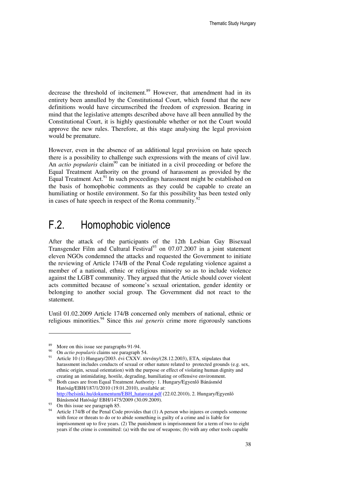decrease the threshold of incitement.<sup>89</sup> However, that amendment had in its entirety been annulled by the Constitutional Court, which found that the new definitions would have circumscribed the freedom of expression. Bearing in mind that the legislative attempts described above have all been annulled by the Constitutional Court, it is highly questionable whether or not the Court would approve the new rules. Therefore, at this stage analysing the legal provision would be premature.

However, even in the absence of an additional legal provision on hate speech there is a possibility to challenge such expressions with the means of civil law. An *actio popularis* claim<sup>90</sup> can be initiated in a civil proceeding or before the Equal Treatment Authority on the ground of harassment as provided by the Equal Treatment Act. $91$  In such proceedings harassment might be established on the basis of homophobic comments as they could be capable to create an humiliating or hostile environment. So far this possibility has been tested only in cases of hate speech in respect of the Roma community. $92$ 

### F.2. Homophobic violence

After the attack of the participants of the 12th Lesbian Gay Bisexual Transgender Film and Cultural Festival<sup>93</sup> on 07.07.2007 in a joint statement eleven NGOs condemned the attacks and requested the Government to initiate the reviewing of Article 174/B of the Penal Code regulating violence against a member of a national, ethnic or religious minority so as to include violence against the LGBT community. They argued that the Article should cover violent acts committed because of someone's sexual orientation, gender identity or belonging to another social group. The Government did not react to the statement.

Until 01.02.2009 Article 174/B concerned only members of national, ethnic or religious minorities.<sup>94</sup> Since this *sui generis* crime more rigorously sanctions

<sup>&</sup>lt;sup>89</sup> More on this issue see paragraphs 91-94.

<sup>90</sup> On *actio popularis* claims see paragraph 54.

Article 10 (1) Hungary/2003. évi CXXV. törvény/(28.12.2003), ETA, stipulates that harassment includes conducts of sexual or other nature related to protected grounds (e.g. sex, ethnic origin, sexual orientation) with the purpose or effect of violating human dignity and creating an intimidating, hostile, degrading, humiliating or offensive environment.

<sup>&</sup>lt;sup>92</sup> Both cases are from Equal Treatment Authority: 1. Hungary/Egyenlő Bánásmód Hatóság/EBH/187/1/2010 (19.01.2010), available at: http://helsinki.hu/dokumentum/EBH\_hatarozat.pdf (22.02.2010), 2. Hungary/Egyenlő Bánásmód Hatóság/ EBH/1475/2009 (30.09.2009).

<sup>&</sup>lt;sup>93</sup> On this issue see paragraph 85.

<sup>&</sup>lt;sup>94</sup> Article 174/B of the Penal Code provides that (1) A person who injures or compels someone with force or threats to do or to abide something is guilty of a crime and is liable for imprisonment up to five years. (2) The punishment is imprisonment for a term of two to eight years if the crime is committed: (a) with the use of weapons; (b) with any other tools capable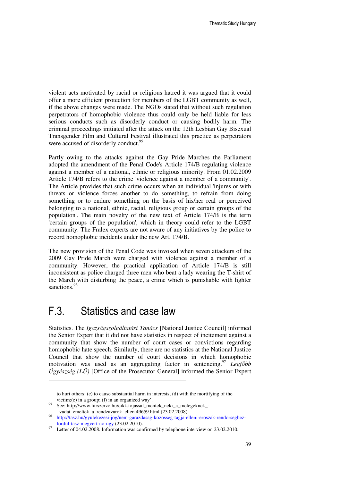violent acts motivated by racial or religious hatred it was argued that it could offer a more efficient protection for members of the LGBT community as well, if the above changes were made. The NGOs stated that without such regulation perpetrators of homophobic violence thus could only be held liable for less serious conducts such as disorderly conduct or causing bodily harm. The criminal proceedings initiated after the attack on the 12th Lesbian Gay Bisexual Transgender Film and Cultural Festival illustrated this practice as perpetrators were accused of disorderly conduct.<sup>95</sup>

Partly owing to the attacks against the Gay Pride Marches the Parliament adopted the amendment of the Penal Code's Article 174/B regulating violence against a member of a national, ethnic or religious minority. From 01.02.2009 Article 174/B refers to the crime 'violence against a member of a community'. The Article provides that such crime occurs when an individual 'injures or with threats or violence forces another to do something, to refrain from doing something or to endure something on the basis of his/her real or perceived belonging to a national, ethnic, racial, religious group or certain groups of the population'. The main novelty of the new text of Article 174/B is the term 'certain groups of the population', which in theory could refer to the LGBT community. The Fralex experts are not aware of any initiatives by the police to record homophobic incidents under the new Art. 174/B.

The new provision of the Penal Code was invoked when seven attackers of the 2009 Gay Pride March were charged with violence against a member of a community. However, the practical application of Article 174/B is still inconsistent as police charged three men who beat a lady wearing the T-shirt of the March with disturbing the peace, a crime which is punishable with lighter sanctions.<sup>96</sup>

### F.3. Statistics and case law

1

Statistics. The *Igazságszolgáltatási Tanács* [National Justice Council] informed the Senior Expert that it did not have statistics in respect of incitement against a community that show the number of court cases or convictions regarding homophobic hate speech. Similarly, there are no statistics at the National Justice Council that show the number of court decisions in which homophobic motivation was used as an aggregating factor in sentencing.<sup>97</sup> *Legf*ő*bb Ügyészség (LÜ)* [Office of the Prosecutor General] informed the Senior Expert

to hurt others; (c) to cause substantial harm in interests; (d) with the mortifying of the victim;(e) in a group; (f) in an organized way'.

<sup>95</sup> See: http://www.hirszerzo.hu/cikk.tojassal\_mentek\_neki\_a\_melegeknek\_-\_vadat\_emeltek\_a\_rendzavarok\_ellen.49659.html (23.02.2008)

<sup>96</sup> http://tasz.hu/gyulekezesi-jog/nem-garazdasag-kozosseg-tagja-elleni-eroszak-rendorseghezfordul-tasz-megvert-no-ugy (23.02.2010).

 $\frac{97}{2}$  Letter of 04.02.2008. Information was confirmed by telephone interview on 23.02.2010.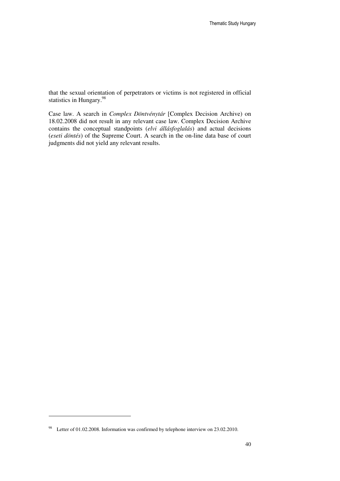that the sexual orientation of perpetrators or victims is not registered in official statistics in Hungary.<sup>98</sup>

Case law. A search in *Complex Döntvénytár* [Complex Decision Archive) on 18.02.2008 did not result in any relevant case law. Complex Decision Archive contains the conceptual standpoints (*elvi állásfoglalás*) and actual decisions (*eseti döntés*) of the Supreme Court. A search in the on-line data base of court judgments did not yield any relevant results.

<sup>98</sup> Letter of 01.02.2008. Information was confirmed by telephone interview on 23.02.2010.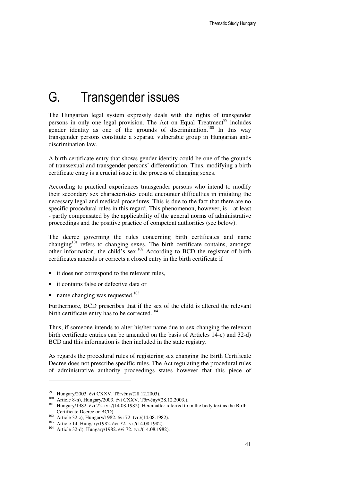# G. Transgender issues

The Hungarian legal system expressly deals with the rights of transgender persons in only one legal provision. The Act on Equal Treatment<sup>99</sup> includes gender identity as one of the grounds of discrimination.<sup>100</sup> In this way transgender persons constitute a separate vulnerable group in Hungarian antidiscrimination law.

A birth certificate entry that shows gender identity could be one of the grounds of transsexual and transgender persons' differentiation. Thus, modifying a birth certificate entry is a crucial issue in the process of changing sexes.

According to practical experiences transgender persons who intend to modify their secondary sex characteristics could encounter difficulties in initiating the necessary legal and medical procedures. This is due to the fact that there are no specific procedural rules in this regard. This phenomenon, however, is – at least - partly compensated by the applicability of the general norms of administrative proceedings and the positive practice of competent authorities (see below).

The decree governing the rules concerning birth certificates and name changing<sup>101</sup> refers to changing sexes. The birth certificate contains, amongst other information, the child's sex.<sup>102</sup> According to BCD the registrar of birth certificates amends or corrects a closed entry in the birth certificate if

- it does not correspond to the relevant rules,
- it contains false or defective data or
- name changing was requested.<sup>103</sup>

Furthermore, BCD prescribes that if the sex of the child is altered the relevant birth certificate entry has to be corrected.<sup>104</sup>

Thus, if someone intends to alter his/her name due to sex changing the relevant birth certificate entries can be amended on the basis of Articles 14-c) and 32-d) BCD and this information is then included in the state registry.

As regards the procedural rules of registering sex changing the Birth Certificate Decree does not prescribe specific rules. The Act regulating the procedural rules of administrative authority proceedings states however that this piece of

<sup>99</sup> Hungary/2003. évi CXXV. Törvény/(28.12.2003).

<sup>100</sup> Article 8-n), Hungary/2003. évi CXXV. Törvény/(28.12.2003.).

<sup>&</sup>lt;sup>101</sup> Hungary/1982. évi 72. tvr./(14.08.1982). Hereinafter referred to in the body text as the Birth Certificate Decree or BCD).

<sup>102</sup> Article 32 c), Hungary/1982. évi 72. tvr./(14.08.1982).

<sup>103</sup> Article 14, Hungary/1982. évi 72. tvr./(14.08.1982).

<sup>104</sup> Article 32-d), Hungary/1982. évi 72. tvr./(14.08.1982).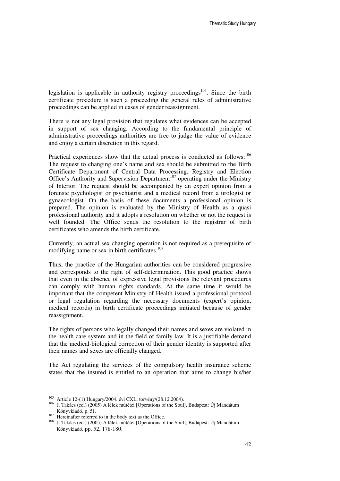legislation is applicable in authority registry proceedings<sup>105</sup>. Since the birth certificate procedure is such a proceeding the general rules of administrative proceedings can be applied in cases of gender reassignment.

There is not any legal provision that regulates what evidences can be accepted in support of sex changing. According to the fundamental principle of administrative proceedings authorities are free to judge the value of evidence and enjoy a certain discretion in this regard.

Practical experiences show that the actual process is conducted as follows:<sup>106</sup> The request to changing one's name and sex should be submitted to the Birth Certificate Department of Central Data Processing, Registry and Election Office's Authority and Supervision Department<sup>107</sup> operating under the Ministry of Interior. The request should be accompanied by an expert opinion from a forensic psychologist or psychiatrist and a medical record from a urologist or gynaecologist. On the basis of these documents a professional opinion is prepared. The opinion is evaluated by the Ministry of Health as a quasi professional authority and it adopts a resolution on whether or not the request is well founded. The Office sends the resolution to the registrar of birth certificates who amends the birth certificate.

Currently, an actual sex changing operation is not required as a prerequisite of modifying name or sex in birth certificates.<sup>108</sup>

Thus, the practice of the Hungarian authorities can be considered progressive and corresponds to the right of self-determination. This good practice shows that even in the absence of expressive legal provisions the relevant procedures can comply with human rights standards. At the same time it would be important that the competent Ministry of Health issued a professional protocol or legal regulation regarding the necessary documents (expert's opinion, medical records) in birth certificate proceedings initiated because of gender reassignment.

The rights of persons who legally changed their names and sexes are violated in the health care system and in the field of family law. It is a justifiable demand that the medical-biological correction of their gender identity is supported after their names and sexes are officially changed.

The Act regulating the services of the compulsory health insurance scheme states that the insured is entitled to an operation that aims to change his/her

<sup>105</sup> Article 12-(1) Hungary/2004. évi CXL. törvény/(28.12.2004).

<sup>106</sup> J. Takács (ed.) (2005) A lélek műtétei [Operations of the Soul], Budapest: Új Mandátum Könyvkiadó, p. 51.

 $107$  Hereinafter referred to in the body text as the Office.

<sup>108</sup> J. Takács (ed.) (2005) A lélek műtétei [Operations of the Soul], Budapest: Új Mandátum Könyvkiadó, pp. 52, 178-180.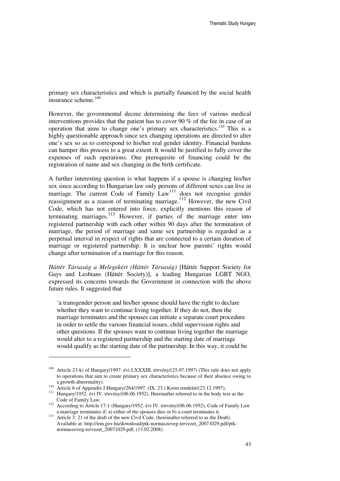primary sex characteristics and which is partially financed by the social health insurance scheme.<sup>109</sup>

However, the governmental decree determining the fees of various medical interventions provides that the patient has to cover 90 % of the fee in case of an operation that aims to change one's primary sex characteristics.<sup>110</sup> This is a highly questionable approach since sex changing operations are directed to alter one's sex so as to correspond to his/her real gender identity. Financial burdens can hamper this process to a great extent. It would be justified to fully cover the expenses of such operations. One prerequisite of financing could be the registration of name and sex changing in the birth certificate.

A further interesting question is what happens if a spouse is changing his/her sex since according to Hungarian law only persons of different sexes can live in marriage. The current Code of Family Law<sup>111</sup> does not recognise gender reassignment as a reason of terminating marriage.<sup>112</sup> However, the new Civil Code, which has not entered into force, explicitly mentions this reason of terminating marriages.<sup>113</sup> However, if parties of the marriage enter into registered partnership with each other within 90 days after the termination of marriage, the period of marriage and same sex partnership is regarded as a perpetual interval in respect of rights that are connected to a certain duration of marriage or registered partnership. It is unclear how parents' rights would change after termination of a marriage for this reason.

*Háttér Társaság a Melegekért (Háttér Társaság)* [Háttér Support Society for Gays and Lesbians (Háttér Society)], a leading Hungarian LGBT NGO, expressed its concerns towards the Government in connection with the above future rules. It suggested that

'a transgender person and his/her spouse should have the right to declare whether they want to continue living together. If they do not, then the marriage terminates and the spouses can initiate a separate court procedure in order to settle the various financial issues, child supervision rights and other questions. If the spouses want to continue living together the marriage would alter to a registered partnership and the starting date of marriage would qualify as the starting date of the partnership. In this way, it could be

<sup>&</sup>lt;sup>109</sup> Article 23-k) of Hungary/1997. évi LXXXIII. törvény/(25.07.1997) (This rule does not apply to operations that aim to create primary sex characteristics because of their absence owing to a growth abnormality).

<sup>110</sup> Article 6 of Appendix I Hungary/284/1997. (IX. 23.) Korm.rendelet/(23.12.1997).

<sup>111</sup> Hungary/1952. évi IV. törvény/(06.06.1952). Hereinafter referred to in the body text as the Code of Family Law.

<sup>&</sup>lt;sup>112</sup> According to Article 17-1 (Hungary/1952. évi IV. törvény/(06.06.1952), Code of Family Law a marriage terminates if: a) either of the spouses dies or b) a court terminates it.

<sup>&</sup>lt;sup>113</sup> Article 3: 21 of the draft of the new Civil Code, (hereinafter referred to as the Draft). Available at: http://irm.gov.hu/download/ptk-normaszoveg-tervezet\_20071029.pdf/ptknormaszoveg-tervezet\_20071029.pdf, (13.02.2008).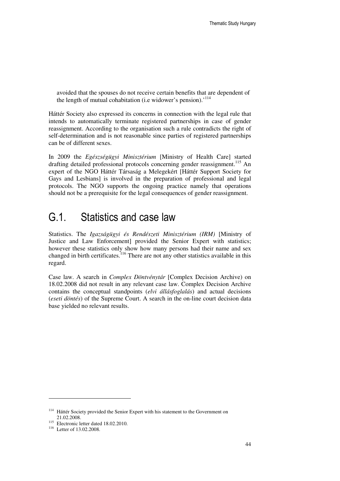avoided that the spouses do not receive certain benefits that are dependent of the length of mutual cohabitation (i.e widower's pension).'<sup>114</sup>

Háttér Society also expressed its concerns in connection with the legal rule that intends to automatically terminate registered partnerships in case of gender reassignment. According to the organisation such a rule contradicts the right of self-determination and is not reasonable since parties of registered partnerships can be of different sexes.

In 2009 the *Egészségügyi Minisztérium* [Ministry of Health Care] started drafting detailed professional protocols concerning gender reassignment.<sup>115</sup> An expert of the NGO Háttér Társaság a Melegekért [Háttér Support Society for Gays and Lesbians] is involved in the preparation of professional and legal protocols. The NGO supports the ongoing practice namely that operations should not be a prerequisite for the legal consequences of gender reassignment.

#### G.1. Statistics and case law

Statistics. The *Igazságügyi és Rendészeti Minisztérium (IRM)* [Ministry of Justice and Law Enforcement] provided the Senior Expert with statistics; however these statistics only show how many persons had their name and sex changed in birth certificates.<sup>116</sup> There are not any other statistics available in this regard.

Case law. A search in *Complex Döntvénytár* [Complex Decision Archive) on 18.02.2008 did not result in any relevant case law. Complex Decision Archive contains the conceptual standpoints (*elvi állásfoglalás*) and actual decisions (*eseti döntés*) of the Supreme Court. A search in the on-line court decision data base yielded no relevant results.

<sup>&</sup>lt;sup>114</sup> Háttér Society provided the Senior Expert with his statement to the Government on 21.02.2008.

<sup>&</sup>lt;sup>115</sup> Electronic letter dated 18.02.2010.

<sup>&</sup>lt;sup>116</sup> Letter of 13.02.2008.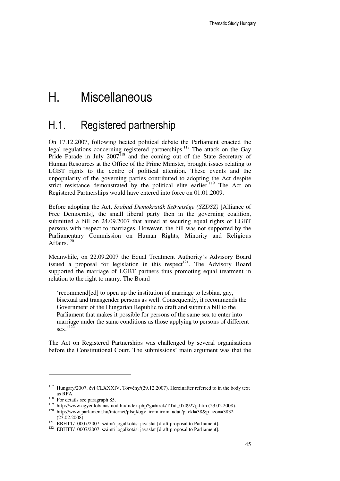# H. Miscellaneous

#### H.1. Registered partnership

On 17.12.2007, following heated political debate the Parliament enacted the legal regulations concerning registered partnerships.<sup>117</sup> The attack on the Gay Pride Parade in July 2007<sup>118</sup> and the coming out of the State Secretary of Human Resources at the Office of the Prime Minister, brought issues relating to LGBT rights to the centre of political attention. These events and the unpopularity of the governing parties contributed to adopting the Act despite strict resistance demonstrated by the political elite earlier.<sup>119</sup> The Act on Registered Partnerships would have entered into force on 01.01.2009.

Before adopting the Act, *Szabad Demokraták Szövetsége (SZDSZ)* [Alliance of Free Democrats], the small liberal party then in the governing coalition, submitted a bill on 24.09.2007 that aimed at securing equal rights of LGBT persons with respect to marriages. However, the bill was not supported by the Parliamentary Commission on Human Rights, Minority and Religious Affairs<sup>120</sup>

Meanwhile, on 22.09.2007 the Equal Treatment Authority's Advisory Board issued a proposal for legislation in this respect<sup>121</sup>. The Advisory Board supported the marriage of LGBT partners thus promoting equal treatment in relation to the right to marry. The Board

'recommend[ed] to open up the institution of marriage to lesbian, gay, bisexual and transgender persons as well. Consequently, it recommends the Government of the Hungarian Republic to draft and submit a bill to the Parliament that makes it possible for persons of the same sex to enter into marriage under the same conditions as those applying to persons of different sex.'<sup>122</sup>

The Act on Registered Partnerships was challenged by several organisations before the Constitutional Court. The submissions' main argument was that the

<sup>&</sup>lt;sup>117</sup> Hungary/2007. évi CLXXXIV. Törvény/(29.12.2007). Hereinafter referred to in the body text as RPA.

<sup>&</sup>lt;sup>118</sup> For details see paragraph 85.

<sup>119</sup> http://www.egyenlobanasmod.hu/index.php?g=hirek/TTaf\_070927jj.htm (23.02.2008).

<sup>120</sup> http://www.parlament.hu/internet/plsql/ogy\_irom.irom\_adat?p\_ckl=38&p\_izon=3832  $(23.02.2008).$ 

<sup>121</sup> EBHTT/10007/2007. számú jogalkotási javaslat [draft proposal to Parliament].

<sup>122</sup> EBHTT/10007/2007. számú jogalkotási javaslat [draft proposal to Parliament].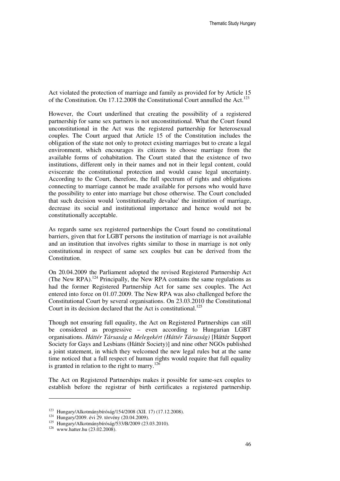Act violated the protection of marriage and family as provided for by Article 15 of the Constitution. On 17.12.2008 the Constitutional Court annulled the Act.<sup>123</sup>

However, the Court underlined that creating the possibility of a registered partnership for same sex partners is not unconstitutional. What the Court found unconstitutional in the Act was the registered partnership for heterosexual couples. The Court argued that Article 15 of the Constitution includes the obligation of the state not only to protect existing marriages but to create a legal environment, which encourages its citizens to choose marriage from the available forms of cohabitation. The Court stated that the existence of two institutions, different only in their names and not in their legal content, could eviscerate the constitutional protection and would cause legal uncertainty. According to the Court, therefore, the full spectrum of rights and obligations connecting to marriage cannot be made available for persons who would have the possibility to enter into marriage but chose otherwise. The Court concluded that such decision would 'constitutionally devalue' the institution of marriage, decrease its social and institutional importance and hence would not be constitutionally acceptable.

As regards same sex registered partnerships the Court found no constitutional barriers, given that for LGBT persons the institution of marriage is not available and an institution that involves rights similar to those in marriage is not only constitutional in respect of same sex couples but can be derived from the Constitution.

On 20.04.2009 the Parliament adopted the revised Registered Partnership Act (The New RPA).<sup>124</sup> Principally, the New RPA contains the same regulations as had the former Registered Partnership Act for same sex couples. The Act entered into force on 01.07.2009. The New RPA was also challenged before the Constitutional Court by several organisations. On 23.03.2010 the Constitutional Court in its decision declared that the Act is constitutional.<sup>125</sup>

Though not ensuring full equality, the Act on Registered Partnerships can still be considered as progressive – even according to Hungarian LGBT organisations. *Háttér Társaság a Melegekért (Háttér Társaság)* [Háttér Support Society for Gays and Lesbians (Háttér Society)] and nine other NGOs published a joint statement, in which they welcomed the new legal rules but at the same time noticed that a full respect of human rights would require that full equality is granted in relation to the right to marry.<sup>126</sup>

The Act on Registered Partnerships makes it possible for same-sex couples to establish before the registrar of birth certificates a registered partnership.

<sup>123</sup> Hungary/Alkotmánybíróság/154/2008 (XII. 17) (17.12.2008).

<sup>124</sup> Hungary/2009. évi 29. törvény (20.04.2009).

<sup>125</sup> Hungary/Alkotmánybíróság/533/B/2009 (23.03.2010).

<sup>&</sup>lt;sup>126</sup> www.hatter.hu (23.02.2008).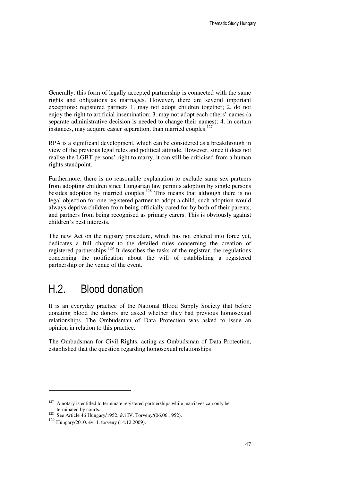Generally, this form of legally accepted partnership is connected with the same rights and obligations as marriages. However, there are several important exceptions: registered partners 1. may not adopt children together; 2. do not enjoy the right to artificial insemination; 3. may not adopt each others' names (a separate administrative decision is needed to change their names); 4. in certain instances, may acquire easier separation, than married couples.<sup>127</sup>

RPA is a significant development, which can be considered as a breakthrough in view of the previous legal rules and political attitude. However, since it does not realise the LGBT persons' right to marry, it can still be criticised from a human rights standpoint.

Furthermore, there is no reasonable explanation to exclude same sex partners from adopting children since Hungarian law permits adoption by single persons besides adoption by married couples.<sup>128</sup> This means that although there is no legal objection for one registered partner to adopt a child, such adoption would always deprive children from being officially cared for by both of their parents, and partners from being recognised as primary carers. This is obviously against children's best interests.

The new Act on the registry procedure, which has not entered into force yet, dedicates a full chapter to the detailed rules concerning the creation of registered partnerships.<sup>129</sup> It describes the tasks of the registrar, the regulations concerning the notification about the will of establishing a registered partnership or the venue of the event.

### H.2. Blood donation

It is an everyday practice of the National Blood Supply Society that before donating blood the donors are asked whether they had previous homosexual relationships. The Ombudsman of Data Protection was asked to issue an opinion in relation to this practice.

The Ombudsman for Civil Rights, acting as Ombudsman of Data Protection, established that the question regarding homosexual relationships

 $127$  A notary is entitled to terminate registered partnerships while marriages can only be terminated by courts.

<sup>&</sup>lt;sup>128</sup> See Article 46 Hungary/1952. évi IV. Törvény/(06.06.1952).

<sup>129</sup> Hungary/2010. évi 1. törvény (14.12.2009).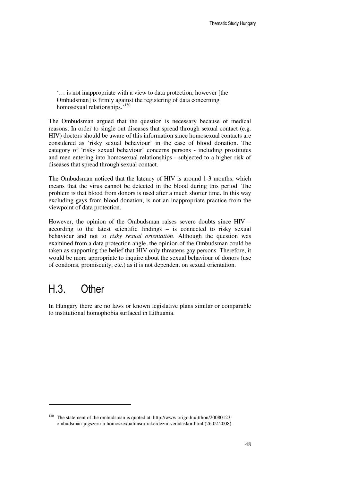'… is not inappropriate with a view to data protection, however [the Ombudsman] is firmly against the registering of data concerning homosexual relationships.'<sup>130</sup>

The Ombudsman argued that the question is necessary because of medical reasons. In order to single out diseases that spread through sexual contact (e.g. HIV) doctors should be aware of this information since homosexual contacts are considered as 'risky sexual behaviour' in the case of blood donation. The category of 'risky sexual behaviour' concerns persons - including prostitutes and men entering into homosexual relationships - subjected to a higher risk of diseases that spread through sexual contact.

The Ombudsman noticed that the latency of HIV is around 1-3 months, which means that the virus cannot be detected in the blood during this period. The problem is that blood from donors is used after a much shorter time. In this way excluding gays from blood donation, is not an inappropriate practice from the viewpoint of data protection.

However, the opinion of the Ombudsman raises severe doubts since HIV – according to the latest scientific findings – is connected to risky sexual behaviour and not to *risky sexual orientation*. Although the question was examined from a data protection angle, the opinion of the Ombudsman could be taken as supporting the belief that HIV only threatens gay persons. Therefore, it would be more appropriate to inquire about the sexual behaviour of donors (use of condoms, promiscuity, etc.) as it is not dependent on sexual orientation.

### H.3. Other

 $\overline{a}$ 

In Hungary there are no laws or known legislative plans similar or comparable to institutional homophobia surfaced in Lithuania.

<sup>130</sup> The statement of the ombudsman is quoted at: http://www.origo.hu/itthon/20080123 ombudsman-jogszeru-a-homoszexualitasra-rakerdezni-veradaskor.html (26.02.2008).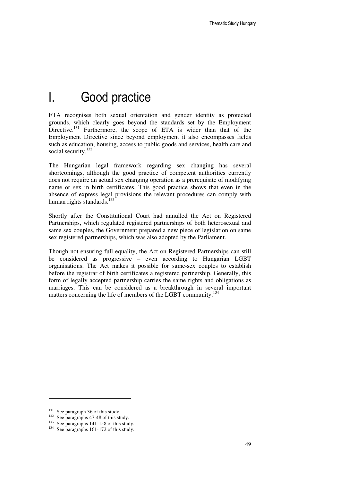### I. Good practice

ETA recognises both sexual orientation and gender identity as protected grounds, which clearly goes beyond the standards set by the Employment Directive.<sup>131</sup> Furthermore, the scope of ETA is wider than that of the Employment Directive since beyond employment it also encompasses fields such as education, housing, access to public goods and services, health care and social security.<sup>132</sup>

The Hungarian legal framework regarding sex changing has several shortcomings, although the good practice of competent authorities currently does not require an actual sex changing operation as a prerequisite of modifying name or sex in birth certificates. This good practice shows that even in the absence of express legal provisions the relevant procedures can comply with human rights standards.<sup>133</sup>

Shortly after the Constitutional Court had annulled the Act on Registered Partnerships, which regulated registered partnerships of both heterosexual and same sex couples, the Government prepared a new piece of legislation on same sex registered partnerships, which was also adopted by the Parliament.

Though not ensuring full equality, the Act on Registered Partnerships can still be considered as progressive – even according to Hungarian LGBT organisations. The Act makes it possible for same-sex couples to establish before the registrar of birth certificates a registered partnership. Generally, this form of legally accepted partnership carries the same rights and obligations as marriages. This can be considered as a breakthrough in several important matters concerning the life of members of the LGBT community.<sup>134</sup>

<sup>&</sup>lt;sup>131</sup> See paragraph 36 of this study.

<sup>&</sup>lt;sup>132</sup> See paragraphs 47-48 of this study.

 $133$  See paragraphs 141-158 of this study.

<sup>&</sup>lt;sup>134</sup> See paragraphs 161-172 of this study.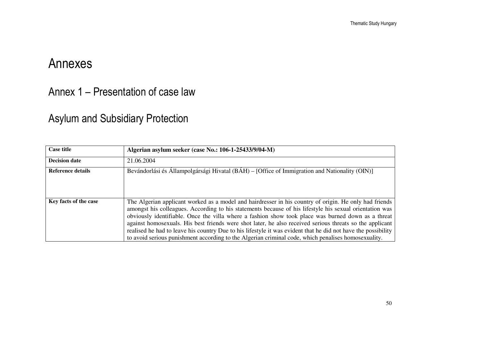# Annexes

Annex 1 – Presentation of case law

### Asylum and Subsidiary Protection

| <b>Case title</b>        | Algerian asylum seeker (case No.: 106-1-25433/9/04-M)                                                                                                                                                                                                                                                                                                                                                                                                                                                                                                                                                                                                       |
|--------------------------|-------------------------------------------------------------------------------------------------------------------------------------------------------------------------------------------------------------------------------------------------------------------------------------------------------------------------------------------------------------------------------------------------------------------------------------------------------------------------------------------------------------------------------------------------------------------------------------------------------------------------------------------------------------|
| <b>Decision date</b>     | 21.06.2004                                                                                                                                                                                                                                                                                                                                                                                                                                                                                                                                                                                                                                                  |
| <b>Reference details</b> | Bevándorlási és Állampolgársági Hivatal (BÁH) – [Office of Immigration and Nationality (OIN)]                                                                                                                                                                                                                                                                                                                                                                                                                                                                                                                                                               |
| Key facts of the case    | The Algerian applicant worked as a model and hairdresser in his country of origin. He only had friends<br>amongst his colleagues. According to his statements because of his lifestyle his sexual orientation was<br>obviously identifiable. Once the villa where a fashion show took place was burned down as a threat<br>against homosexuals. His best friends were shot later, he also received serious threats so the applicant<br>realised he had to leave his country Due to his lifestyle it was evident that he did not have the possibility<br>to avoid serious punishment according to the Algerian criminal code, which penalises homosexuality. |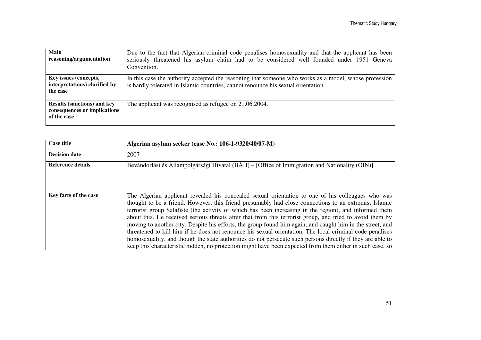| Main<br>reasoning/argumentation                                                   | Due to the fact that Algerian criminal code penalises homosexuality and that the applicant has been<br>seriously threatened his asylum claim had to be considered well founded under 1951 Geneva<br>Convention. |
|-----------------------------------------------------------------------------------|-----------------------------------------------------------------------------------------------------------------------------------------------------------------------------------------------------------------|
| Key issues (concepts,<br>interpretations) clarified by<br>the case                | In this case the authority accepted the reasoning that someone who works as a model, whose profession<br>is hardly tolerated in Islamic countries, cannot renounce his sexual orientation.                      |
| <b>Results (sanctions) and key</b><br>consequences or implications<br>of the case | The applicant was recognised as refugee on 21.06.2004.                                                                                                                                                          |

| <b>Case title</b>        | Algerian asylum seeker (case No.: 106-1-9320/40/07-M)                                                      |
|--------------------------|------------------------------------------------------------------------------------------------------------|
|                          |                                                                                                            |
| <b>Decision date</b>     | 2007                                                                                                       |
| <b>Reference details</b> | Bevándorlási és Állampolgársági Hivatal (BÁH) – [Office of Immigration and Nationality (OIN)]              |
|                          |                                                                                                            |
|                          |                                                                                                            |
|                          |                                                                                                            |
|                          |                                                                                                            |
|                          |                                                                                                            |
| Key facts of the case    | The Algerian applicant revealed his concealed sexual orientation to one of his colleagues who was          |
|                          | thought to be a friend. However, this friend presumably had close connections to an extremist Islamic      |
|                          | terrorist group Salafiste (the activity of which has been increasing in the region), and informed them     |
|                          | about this. He received serious threats after that from this terrorist group, and tried to avoid them by   |
|                          | moving to another city. Despite his efforts, the group found him again, and caught him in the street, and  |
|                          | threatened to kill him if he does not renounce his sexual orientation. The local criminal code penalises   |
|                          | homosexuality, and though the state authorities do not persecute such persons directly if they are able to |
|                          | keep this characteristic hidden, no protection might have been expected from them either in such case, so  |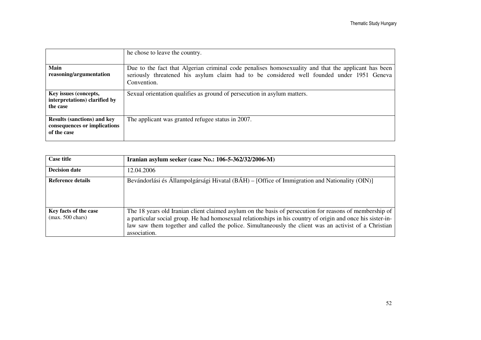|                                                                                   | the chose to leave the country.                                                                                                                                                                                 |
|-----------------------------------------------------------------------------------|-----------------------------------------------------------------------------------------------------------------------------------------------------------------------------------------------------------------|
| Main<br>reasoning/argumentation                                                   | Due to the fact that Algerian criminal code penalises homosexuality and that the applicant has been<br>seriously threatened his asylum claim had to be considered well founded under 1951 Geneva<br>Convention. |
| Key issues (concepts,<br>interpretations) clarified by<br>the case                | Sexual orientation qualifies as ground of persecution in asylum matters.                                                                                                                                        |
| <b>Results (sanctions) and key</b><br>consequences or implications<br>of the case | The applicant was granted refugee status in 2007.                                                                                                                                                               |

| <b>Case title</b>                                   | Iranian asylum seeker (case No.: 106-5-362/32/2006-M)                                                                                                                                                                                                                                                                                           |
|-----------------------------------------------------|-------------------------------------------------------------------------------------------------------------------------------------------------------------------------------------------------------------------------------------------------------------------------------------------------------------------------------------------------|
| <b>Decision date</b>                                | 12.04.2006                                                                                                                                                                                                                                                                                                                                      |
| Reference details                                   | Bevándorlási és Állampolgársági Hivatal (BÁH) – [Office of Immigration and Nationality (OIN)]                                                                                                                                                                                                                                                   |
| Key facts of the case<br>$(max. 500 \text{ chars})$ | The 18 years old Iranian client claimed asylum on the basis of persecution for reasons of membership of<br>a particular social group. He had homosexual relationships in his country of origin and once his sister-in-<br>law saw them together and called the police. Simultaneously the client was an activist of a Christian<br>association. |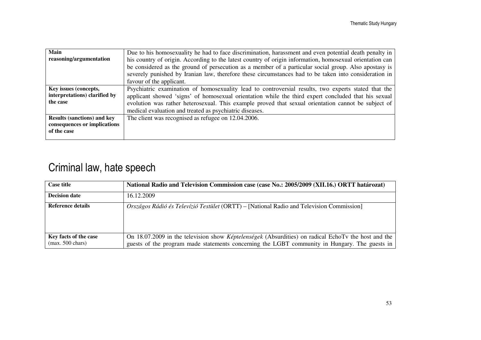| Main                               | Due to his homosexuality he had to face discrimination, harassment and even potential death penalty in   |
|------------------------------------|----------------------------------------------------------------------------------------------------------|
| reasoning/argumentation            | his country of origin. According to the latest country of origin information, homosexual orientation can |
|                                    | be considered as the ground of persecution as a member of a particular social group. Also apostasy is    |
|                                    | severely punished by Iranian law, therefore these circumstances had to be taken into consideration in    |
|                                    | favour of the applicant.                                                                                 |
| Key issues (concepts,              | Psychiatric examination of homosexuality lead to controversial results, two experts stated that the      |
| interpretations) clarified by      | applicant showed 'signs' of homosexual orientation while the third expert concluded that his sexual      |
| the case                           | evolution was rather heterosexual. This example proved that sexual orientation cannot be subject of      |
|                                    | medical evaluation and treated as psychiatric diseases.                                                  |
| <b>Results (sanctions) and key</b> | The client was recognised as refugee on 12.04.2006.                                                      |
| consequences or implications       |                                                                                                          |
| of the case                        |                                                                                                          |
|                                    |                                                                                                          |

### Criminal law, hate speech

| <b>Case title</b>                                   | National Radio and Television Commission case (case No.: 2005/2009 (XII.16.) ORTT határozat)                                                                                                                |
|-----------------------------------------------------|-------------------------------------------------------------------------------------------------------------------------------------------------------------------------------------------------------------|
| <b>Decision date</b>                                | 16.12.2009                                                                                                                                                                                                  |
| Reference details                                   | <i>Országos Rádió és Televízió Testület</i> (ORTT) – [National Radio and Television Commission]                                                                                                             |
| Key facts of the case<br>$(max. 500 \text{ chars})$ | On 18.07.2009 in the television show <i>Képtelenségek</i> (Absurdities) on radical EchoTv the host and the<br>guests of the program made statements concerning the LGBT community in Hungary. The guests in |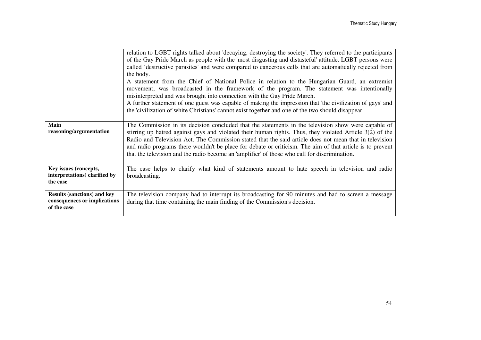|                                    | relation to LGBT rights talked about 'decaying, destroying the society'. They referred to the participants<br>of the Gay Pride March as people with the 'most disgusting and distasteful' attitude. LGBT persons were<br>called 'destructive parasites' and were compared to cancerous cells that are automatically rejected from<br>the body.<br>A statement from the Chief of National Police in relation to the Hungarian Guard, an extremist<br>movement, was broadcasted in the framework of the program. The statement was intentionally<br>misinterpreted and was brought into connection with the Gay Pride March.<br>A further statement of one guest was capable of making the impression that 'the civilization of gays' and<br>the 'civilization of white Christians' cannot exist together and one of the two should disappear. |
|------------------------------------|----------------------------------------------------------------------------------------------------------------------------------------------------------------------------------------------------------------------------------------------------------------------------------------------------------------------------------------------------------------------------------------------------------------------------------------------------------------------------------------------------------------------------------------------------------------------------------------------------------------------------------------------------------------------------------------------------------------------------------------------------------------------------------------------------------------------------------------------|
| <b>Main</b>                        | The Commission in its decision concluded that the statements in the television show were capable of                                                                                                                                                                                                                                                                                                                                                                                                                                                                                                                                                                                                                                                                                                                                          |
| reasoning/argumentation            | stirring up hatred against gays and violated their human rights. Thus, they violated Article 3(2) of the                                                                                                                                                                                                                                                                                                                                                                                                                                                                                                                                                                                                                                                                                                                                     |
|                                    | Radio and Television Act. The Commission stated that the said article does not mean that in television                                                                                                                                                                                                                                                                                                                                                                                                                                                                                                                                                                                                                                                                                                                                       |
|                                    | and radio programs there wouldn't be place for debate or criticism. The aim of that article is to prevent<br>that the television and the radio become an 'amplifier' of those who call for discrimination.                                                                                                                                                                                                                                                                                                                                                                                                                                                                                                                                                                                                                                   |
|                                    |                                                                                                                                                                                                                                                                                                                                                                                                                                                                                                                                                                                                                                                                                                                                                                                                                                              |
| Key issues (concepts,              | The case helps to clarify what kind of statements amount to hate speech in television and radio                                                                                                                                                                                                                                                                                                                                                                                                                                                                                                                                                                                                                                                                                                                                              |
| interpretations) clarified by      | broadcasting.                                                                                                                                                                                                                                                                                                                                                                                                                                                                                                                                                                                                                                                                                                                                                                                                                                |
| the case                           |                                                                                                                                                                                                                                                                                                                                                                                                                                                                                                                                                                                                                                                                                                                                                                                                                                              |
| <b>Results (sanctions) and key</b> | The television company had to interrupt its broadcasting for 90 minutes and had to screen a message                                                                                                                                                                                                                                                                                                                                                                                                                                                                                                                                                                                                                                                                                                                                          |
| consequences or implications       | during that time containing the main finding of the Commission's decision.                                                                                                                                                                                                                                                                                                                                                                                                                                                                                                                                                                                                                                                                                                                                                                   |
| of the case                        |                                                                                                                                                                                                                                                                                                                                                                                                                                                                                                                                                                                                                                                                                                                                                                                                                                              |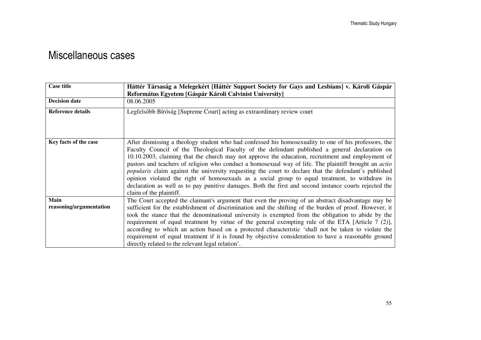### Miscellaneous cases

| <b>Case title</b>               | Háttér Társaság a Melegekért [Háttér Support Society for Gays and Lesbians] v. Károli Gáspár                                                                                                                                                                                                                                                                                                                                                                                                                                                                                                                                                                                                                                                                                         |  |
|---------------------------------|--------------------------------------------------------------------------------------------------------------------------------------------------------------------------------------------------------------------------------------------------------------------------------------------------------------------------------------------------------------------------------------------------------------------------------------------------------------------------------------------------------------------------------------------------------------------------------------------------------------------------------------------------------------------------------------------------------------------------------------------------------------------------------------|--|
|                                 | Református Egyetem [Gáspár Károli Calvinist University]                                                                                                                                                                                                                                                                                                                                                                                                                                                                                                                                                                                                                                                                                                                              |  |
| <b>Decision date</b>            | 08.06.2005                                                                                                                                                                                                                                                                                                                                                                                                                                                                                                                                                                                                                                                                                                                                                                           |  |
| <b>Reference details</b>        | Legfelsőbb Bíróság [Supreme Court] acting as extraordinary review court                                                                                                                                                                                                                                                                                                                                                                                                                                                                                                                                                                                                                                                                                                              |  |
| Key facts of the case           | After dismissing a theology student who had confessed his homosexuality to one of his professors, the<br>Faculty Council of the Theological Faculty of the defendant published a general declaration on<br>10.10.2003, claiming that the church may not approve the education, recruitment and employment of<br>pastors and teachers of religion who conduct a homosexual way of life. The plaintiff brought an <i>actio</i><br><i>popularis</i> claim against the university requesting the court to declare that the defendant's published<br>opinion violated the right of homosexuals as a social group to equal treatment, to withdraw its<br>declaration as well as to pay punitive damages. Both the first and second instance courts rejected the<br>claim of the plaintiff. |  |
| Main<br>reasoning/argumentation | The Court accepted the claimant's argument that even the proving of an abstract disadvantage may be<br>sufficient for the establishment of discrimination and the shifting of the burden of proof. However, it<br>took the stance that the denominational university is exempted from the obligation to abide by the<br>requirement of equal treatment by virtue of the general exempting rule of the ETA [Article 7 (2)],<br>according to which an action based on a protected characteristic 'shall not be taken to violate the<br>requirement of equal treatment if it is found by objective consideration to have a reasonable ground<br>directly related to the relevant legal relation'.                                                                                       |  |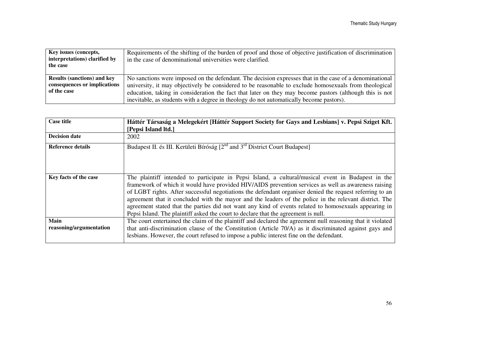| Key issues (concepts,<br>interpretations) clarified by<br>the case                | Requirements of the shifting of the burden of proof and those of objective justification of discrimination<br>in the case of denominational universities were clarified.                                                                                                                                                                                                                                               |
|-----------------------------------------------------------------------------------|------------------------------------------------------------------------------------------------------------------------------------------------------------------------------------------------------------------------------------------------------------------------------------------------------------------------------------------------------------------------------------------------------------------------|
| <b>Results (sanctions) and key</b><br>consequences or implications<br>of the case | No sanctions were imposed on the defendant. The decision expresses that in the case of a denominational<br>university, it may objectively be considered to be reasonable to exclude homosexuals from theological<br>education, taking in consideration the fact that later on they may become pastors (although this is not<br>inevitable, as students with a degree in theology do not automatically become pastors). |

| <b>Case title</b>               | Háttér Társaság a Melegekért [Háttér Support Society for Gays and Lesbians] v. Pepsi Sziget Kft.<br>[Pepsi Island ltd.]                                                                                                                                                                                                                                                                                                                                                                                                                                                                                                        |
|---------------------------------|--------------------------------------------------------------------------------------------------------------------------------------------------------------------------------------------------------------------------------------------------------------------------------------------------------------------------------------------------------------------------------------------------------------------------------------------------------------------------------------------------------------------------------------------------------------------------------------------------------------------------------|
| <b>Decision date</b>            | 2002                                                                                                                                                                                                                                                                                                                                                                                                                                                                                                                                                                                                                           |
| Reference details               | Budapest II. és III. Kerületi Bíróság $[2^{nd}$ and $3^{rd}$ District Court Budapest                                                                                                                                                                                                                                                                                                                                                                                                                                                                                                                                           |
| Key facts of the case           | The plaintiff intended to participate in Pepsi Island, a cultural/musical event in Budapest in the<br>framework of which it would have provided HIV/AIDS prevention services as well as awareness raising<br>of LGBT rights. After successful negotiations the defendant organiser denied the request referring to an<br>agreement that it concluded with the mayor and the leaders of the police in the relevant district. The<br>agreement stated that the parties did not want any kind of events related to homosexuals appearing in<br>Pepsi Island. The plaintiff asked the court to declare that the agreement is null. |
| Main<br>reasoning/argumentation | The court entertained the claim of the plaintiff and declared the agreement null reasoning that it violated<br>that anti-discrimination clause of the Constitution (Article 70/A) as it discriminated against gays and<br>lesbians. However, the court refused to impose a public interest fine on the defendant.                                                                                                                                                                                                                                                                                                              |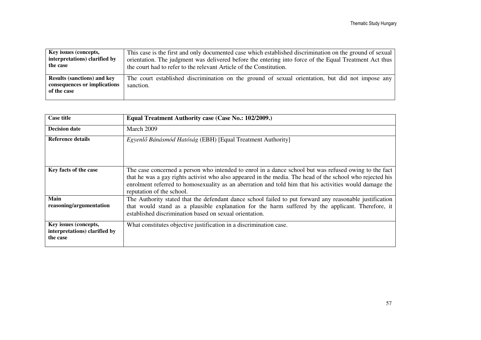| Key issues (concepts,                                                             | This case is the first and only documented case which established discrimination on the ground of sexual      |
|-----------------------------------------------------------------------------------|---------------------------------------------------------------------------------------------------------------|
| interpretations) clarified by                                                     | orientation. The judgment was delivered before the entering into force of the Equal Treatment Act thus        |
| the case                                                                          | the court had to refer to the relevant Article of the Constitution.                                           |
| <b>Results (sanctions) and key</b><br>consequences or implications<br>of the case | The court established discrimination on the ground of sexual orientation, but did not impose any<br>sanction. |

| <b>Case title</b>                                                  | Equal Treatment Authority case (Case No.: 102/2009.)                                                                                                                                                                                                                                                                                                      |
|--------------------------------------------------------------------|-----------------------------------------------------------------------------------------------------------------------------------------------------------------------------------------------------------------------------------------------------------------------------------------------------------------------------------------------------------|
| <b>Decision date</b>                                               | March 2009                                                                                                                                                                                                                                                                                                                                                |
| Reference details                                                  | Egyenlő Bánásmód Hatóság (EBH) [Equal Treatment Authority]                                                                                                                                                                                                                                                                                                |
| Key facts of the case                                              | The case concerned a person who intended to enrol in a dance school but was refused owing to the fact<br>that he was a gay rights activist who also appeared in the media. The head of the school who rejected his<br>enrolment referred to homosexuality as an aberration and told him that his activities would damage the<br>reputation of the school. |
| Main<br>reasoning/argumentation                                    | The Authority stated that the defendant dance school failed to put forward any reasonable justification<br>that would stand as a plausible explanation for the harm suffered by the applicant. Therefore, it<br>established discrimination based on sexual orientation.                                                                                   |
| Key issues (concepts,<br>interpretations) clarified by<br>the case | What constitutes objective justification in a discrimination case.                                                                                                                                                                                                                                                                                        |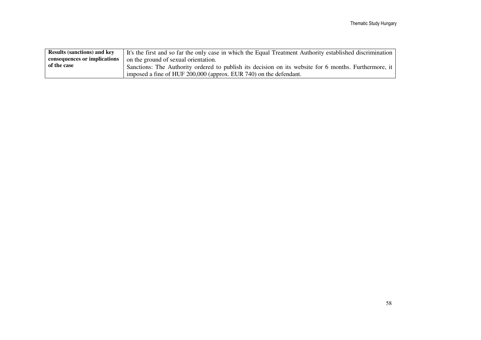| <b>Results (sanctions) and key</b> | It's the first and so far the only case in which the Equal Treatment Authority established discrimination |
|------------------------------------|-----------------------------------------------------------------------------------------------------------|
| consequences or implications       | on the ground of sexual orientation.                                                                      |
| of the case                        | Sanctions: The Authority ordered to publish its decision on its website for 6 months. Furthermore, it     |
|                                    | imposed a fine of HUF 200,000 (approx. EUR 740) on the defendant.                                         |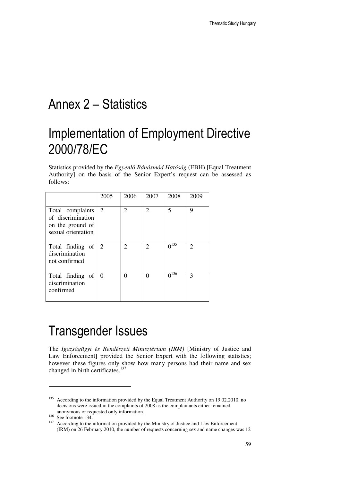## Annex 2 – Statistics

# Implementation of Employment Directive 2000/78/EC

Statistics provided by the *Egyenl*ő *Bánásmód Hatóság* (EBH) [Equal Treatment Authority] on the basis of the Senior Expert's request can be assessed as follows:

|                                                                                 | 2005 | 2006 | 2007 | 2008      | 2009                        |
|---------------------------------------------------------------------------------|------|------|------|-----------|-----------------------------|
| Total complaints<br>of discrimination<br>on the ground of<br>sexual orientation | 2    | 2    | 2    | 5         | 9                           |
| Total finding of<br>discrimination<br>not confirmed                             | 2    | 2    | 2    | $0^{135}$ | $\mathcal{D}_{\mathcal{L}}$ |
| Total finding of<br>discrimination<br>confirmed                                 | 0    | 0    | 0    | $0^{136}$ | 3                           |

# Transgender Issues

The *Igazságügyi és Rendészeti Minisztérium (IRM)* [Ministry of Justice and Law Enforcement] provided the Senior Expert with the following statistics; however these figures only show how many persons had their name and sex changed in birth certificates.<sup>137</sup>

<sup>&</sup>lt;sup>135</sup> According to the information provided by the Equal Treatment Authority on 19.02.2010, no decisions were issued in the complaints of 2008 as the complainants either remained anonymous or requested only information.

<sup>136</sup> See footnote 134.

<sup>&</sup>lt;sup>137</sup> According to the information provided by the Ministry of Justice and Law Enforcement (IRM) on 26 February 2010, the number of requests concerning sex and name changes was 12